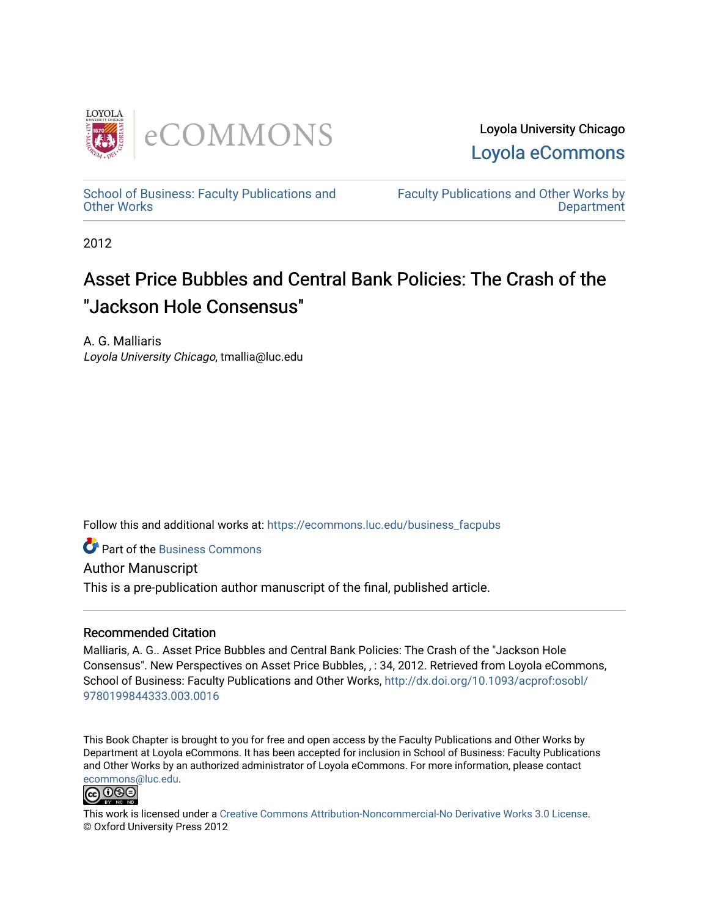

Loyola University Chicago [Loyola eCommons](https://ecommons.luc.edu/) 

[School of Business: Faculty Publications and](https://ecommons.luc.edu/business_facpubs) [Other Works](https://ecommons.luc.edu/business_facpubs)

[Faculty Publications and Other Works by](https://ecommons.luc.edu/faculty)  **Department** 

2012

# Asset Price Bubbles and Central Bank Policies: The Crash of the "Jackson Hole Consensus"

A. G. Malliaris Loyola University Chicago, tmallia@luc.edu

Follow this and additional works at: [https://ecommons.luc.edu/business\\_facpubs](https://ecommons.luc.edu/business_facpubs?utm_source=ecommons.luc.edu%2Fbusiness_facpubs%2F157&utm_medium=PDF&utm_campaign=PDFCoverPages) 

**C** Part of the [Business Commons](http://network.bepress.com/hgg/discipline/622?utm_source=ecommons.luc.edu%2Fbusiness_facpubs%2F157&utm_medium=PDF&utm_campaign=PDFCoverPages)

Author Manuscript

This is a pre-publication author manuscript of the final, published article.

## Recommended Citation

Malliaris, A. G.. Asset Price Bubbles and Central Bank Policies: The Crash of the "Jackson Hole Consensus". New Perspectives on Asset Price Bubbles, , : 34, 2012. Retrieved from Loyola eCommons, School of Business: Faculty Publications and Other Works, [http://dx.doi.org/10.1093/acprof:osobl/](http://dx.doi.org/10.1093/acprof:osobl/9780199844333.003.0016) [9780199844333.003.0016](http://dx.doi.org/10.1093/acprof:osobl/9780199844333.003.0016) 

This Book Chapter is brought to you for free and open access by the Faculty Publications and Other Works by Department at Loyola eCommons. It has been accepted for inclusion in School of Business: Faculty Publications and Other Works by an authorized administrator of Loyola eCommons. For more information, please contact [ecommons@luc.edu](mailto:ecommons@luc.edu).



This work is licensed under a [Creative Commons Attribution-Noncommercial-No Derivative Works 3.0 License.](https://creativecommons.org/licenses/by-nc-nd/3.0/) © Oxford University Press 2012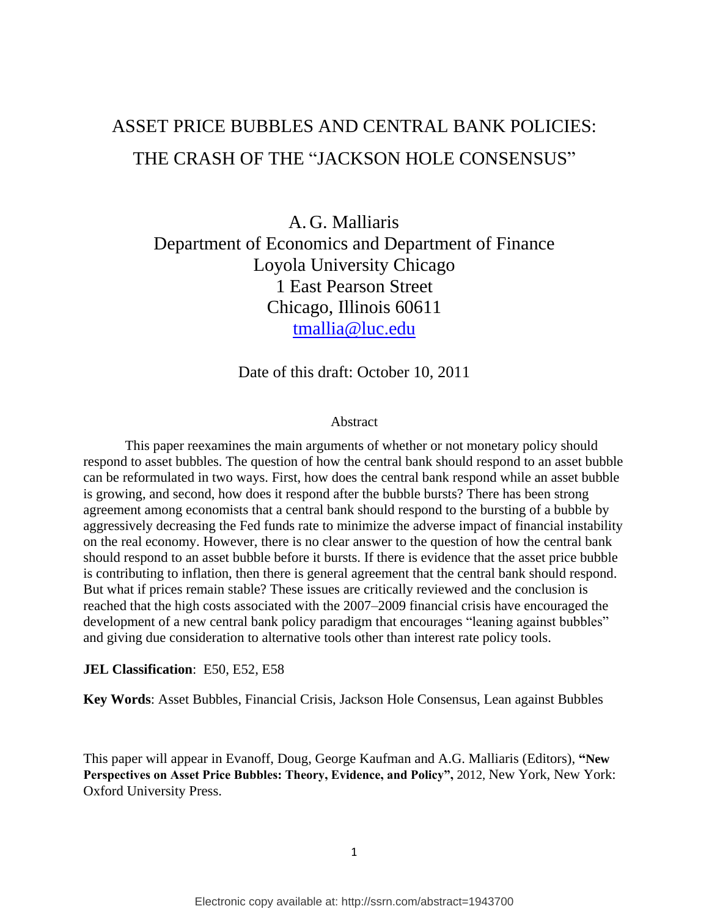## ASSET PRICE BUBBLES AND CENTRAL BANK POLICIES: THE CRASH OF THE "JACKSON HOLE CONSENSUS"

A. G. Malliaris Department of Economics and Department of Finance Loyola University Chicago 1 East Pearson Street Chicago, Illinois 60611 [tmallia@luc.edu](mailto:tmallia@luc.edu)

Date of this draft: October 10, 2011

#### Abstract

This paper reexamines the main arguments of whether or not monetary policy should respond to asset bubbles. The question of how the central bank should respond to an asset bubble can be reformulated in two ways. First, how does the central bank respond while an asset bubble is growing, and second, how does it respond after the bubble bursts? There has been strong agreement among economists that a central bank should respond to the bursting of a bubble by aggressively decreasing the Fed funds rate to minimize the adverse impact of financial instability on the real economy. However, there is no clear answer to the question of how the central bank should respond to an asset bubble before it bursts. If there is evidence that the asset price bubble is contributing to inflation, then there is general agreement that the central bank should respond. But what if prices remain stable? These issues are critically reviewed and the conclusion is reached that the high costs associated with the 2007–2009 financial crisis have encouraged the development of a new central bank policy paradigm that encourages "leaning against bubbles" and giving due consideration to alternative tools other than interest rate policy tools.

#### **JEL Classification**: E50, E52, E58

**Key Words**: Asset Bubbles, Financial Crisis, Jackson Hole Consensus, Lean against Bubbles

This paper will appear in Evanoff, Doug, George Kaufman and A.G. Malliaris (Editors), **"New Perspectives on Asset Price Bubbles: Theory, Evidence, and Policy",** 2012, New York, New York: Oxford University Press.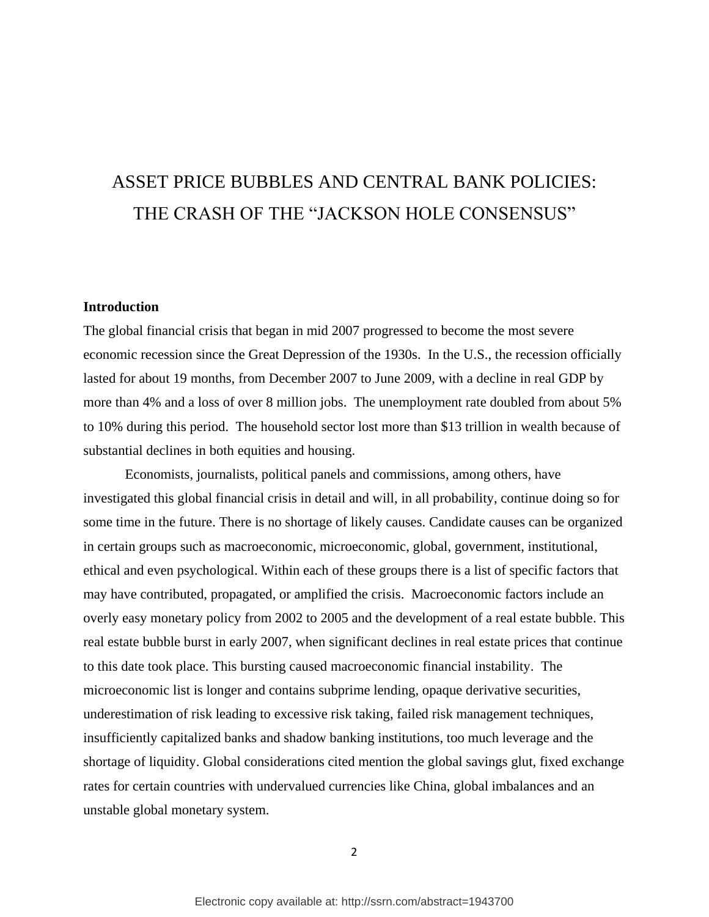# ASSET PRICE BUBBLES AND CENTRAL BANK POLICIES: THE CRASH OF THE "JACKSON HOLE CONSENSUS"

### **Introduction**

The global financial crisis that began in mid 2007 progressed to become the most severe economic recession since the Great Depression of the 1930s. In the U.S., the recession officially lasted for about 19 months, from December 2007 to June 2009, with a decline in real GDP by more than 4% and a loss of over 8 million jobs. The unemployment rate doubled from about 5% to 10% during this period. The household sector lost more than \$13 trillion in wealth because of substantial declines in both equities and housing.

Economists, journalists, political panels and commissions, among others, have investigated this global financial crisis in detail and will, in all probability, continue doing so for some time in the future. There is no shortage of likely causes. Candidate causes can be organized in certain groups such as macroeconomic, microeconomic, global, government, institutional, ethical and even psychological. Within each of these groups there is a list of specific factors that may have contributed, propagated, or amplified the crisis. Macroeconomic factors include an overly easy monetary policy from 2002 to 2005 and the development of a real estate bubble. This real estate bubble burst in early 2007, when significant declines in real estate prices that continue to this date took place. This bursting caused macroeconomic financial instability. The microeconomic list is longer and contains subprime lending, opaque derivative securities, underestimation of risk leading to excessive risk taking, failed risk management techniques, insufficiently capitalized banks and shadow banking institutions, too much leverage and the shortage of liquidity. Global considerations cited mention the global savings glut, fixed exchange rates for certain countries with undervalued currencies like China, global imbalances and an unstable global monetary system.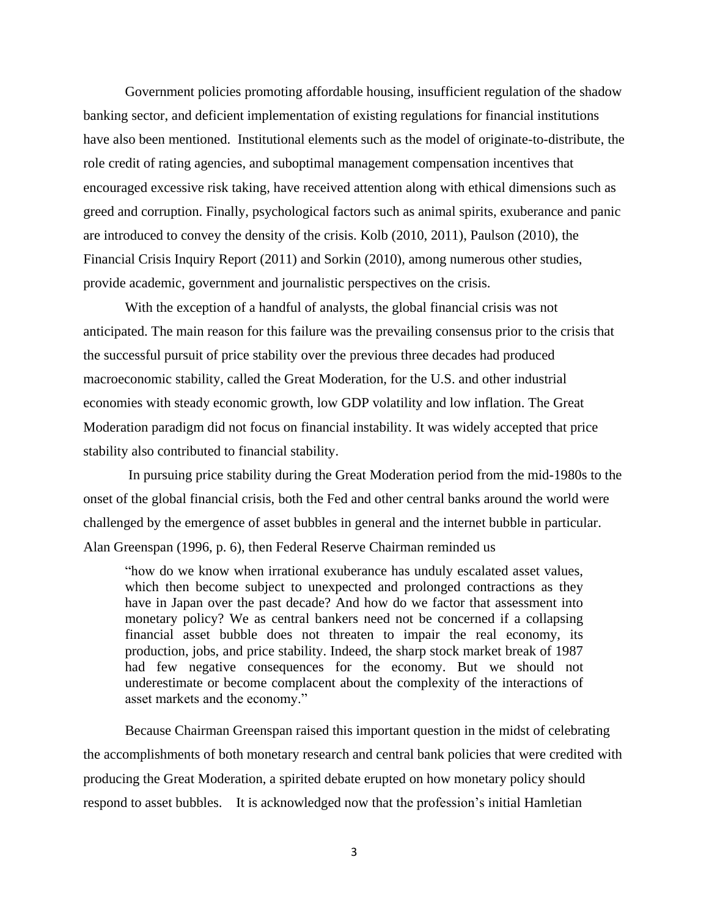Government policies promoting affordable housing, insufficient regulation of the shadow banking sector, and deficient implementation of existing regulations for financial institutions have also been mentioned. Institutional elements such as the model of originate-to-distribute, the role credit of rating agencies, and suboptimal management compensation incentives that encouraged excessive risk taking, have received attention along with ethical dimensions such as greed and corruption. Finally, psychological factors such as animal spirits, exuberance and panic are introduced to convey the density of the crisis. Kolb (2010, 2011), Paulson (2010), the Financial Crisis Inquiry Report (2011) and Sorkin (2010), among numerous other studies, provide academic, government and journalistic perspectives on the crisis.

With the exception of a handful of analysts, the global financial crisis was not anticipated. The main reason for this failure was the prevailing consensus prior to the crisis that the successful pursuit of price stability over the previous three decades had produced macroeconomic stability, called the Great Moderation, for the U.S. and other industrial economies with steady economic growth, low GDP volatility and low inflation. The Great Moderation paradigm did not focus on financial instability. It was widely accepted that price stability also contributed to financial stability.

In pursuing price stability during the Great Moderation period from the mid-1980s to the onset of the global financial crisis, both the Fed and other central banks around the world were challenged by the emergence of asset bubbles in general and the internet bubble in particular. Alan Greenspan (1996, p. 6), then Federal Reserve Chairman reminded us

―how do we know when irrational exuberance has unduly escalated asset values, which then become subject to unexpected and prolonged contractions as they have in Japan over the past decade? And how do we factor that assessment into monetary policy? We as central bankers need not be concerned if a collapsing financial asset bubble does not threaten to impair the real economy, its production, jobs, and price stability. Indeed, the sharp stock market break of 1987 had few negative consequences for the economy. But we should not underestimate or become complacent about the complexity of the interactions of asset markets and the economy."

Because Chairman Greenspan raised this important question in the midst of celebrating the accomplishments of both monetary research and central bank policies that were credited with producing the Great Moderation, a spirited debate erupted on how monetary policy should respond to asset bubbles. It is acknowledged now that the profession's initial Hamletian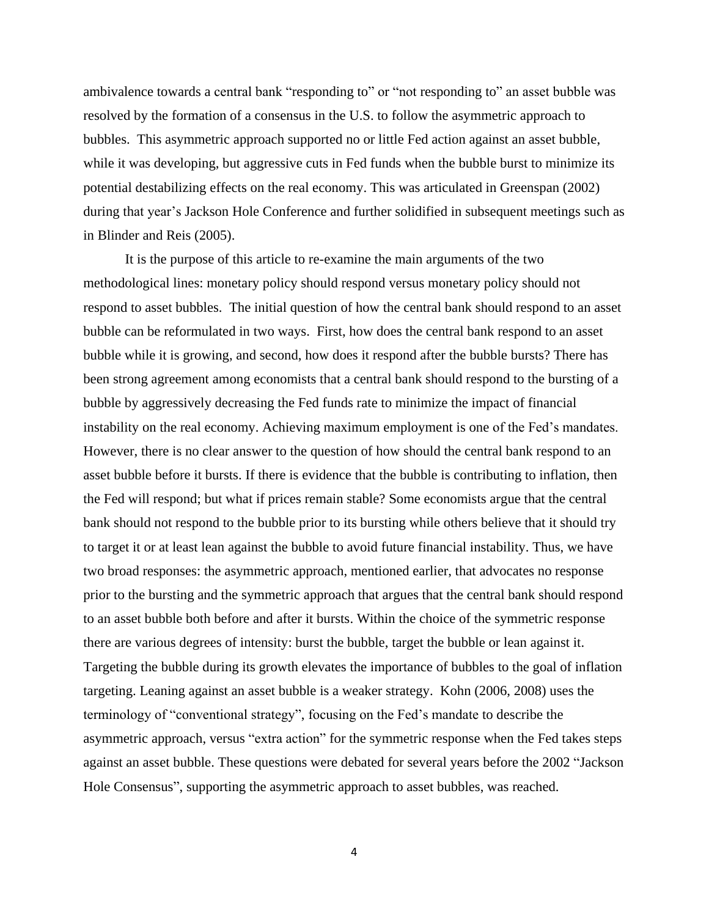ambivalence towards a central bank "responding to" or "not responding to" an asset bubble was resolved by the formation of a consensus in the U.S. to follow the asymmetric approach to bubbles. This asymmetric approach supported no or little Fed action against an asset bubble, while it was developing, but aggressive cuts in Fed funds when the bubble burst to minimize its potential destabilizing effects on the real economy. This was articulated in Greenspan (2002) during that year's Jackson Hole Conference and further solidified in subsequent meetings such as in Blinder and Reis (2005).

It is the purpose of this article to re-examine the main arguments of the two methodological lines: monetary policy should respond versus monetary policy should not respond to asset bubbles. The initial question of how the central bank should respond to an asset bubble can be reformulated in two ways. First, how does the central bank respond to an asset bubble while it is growing, and second, how does it respond after the bubble bursts? There has been strong agreement among economists that a central bank should respond to the bursting of a bubble by aggressively decreasing the Fed funds rate to minimize the impact of financial instability on the real economy. Achieving maximum employment is one of the Fed's mandates. However, there is no clear answer to the question of how should the central bank respond to an asset bubble before it bursts. If there is evidence that the bubble is contributing to inflation, then the Fed will respond; but what if prices remain stable? Some economists argue that the central bank should not respond to the bubble prior to its bursting while others believe that it should try to target it or at least lean against the bubble to avoid future financial instability. Thus, we have two broad responses: the asymmetric approach, mentioned earlier, that advocates no response prior to the bursting and the symmetric approach that argues that the central bank should respond to an asset bubble both before and after it bursts. Within the choice of the symmetric response there are various degrees of intensity: burst the bubble, target the bubble or lean against it. Targeting the bubble during its growth elevates the importance of bubbles to the goal of inflation targeting. Leaning against an asset bubble is a weaker strategy. Kohn (2006, 2008) uses the terminology of "conventional strategy", focusing on the Fed's mandate to describe the asymmetric approach, versus "extra action" for the symmetric response when the Fed takes steps against an asset bubble. These questions were debated for several years before the 2002 "Jackson Hole Consensus", supporting the asymmetric approach to asset bubbles, was reached.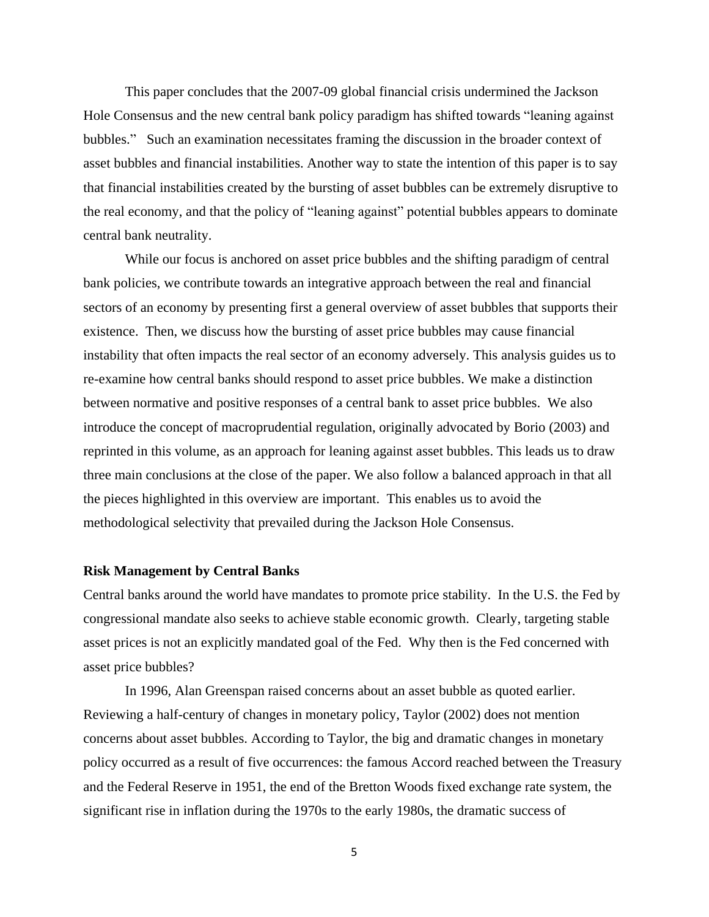This paper concludes that the 2007-09 global financial crisis undermined the Jackson Hole Consensus and the new central bank policy paradigm has shifted towards "leaning against" bubbles." Such an examination necessitates framing the discussion in the broader context of asset bubbles and financial instabilities. Another way to state the intention of this paper is to say that financial instabilities created by the bursting of asset bubbles can be extremely disruptive to the real economy, and that the policy of "leaning against" potential bubbles appears to dominate central bank neutrality.

While our focus is anchored on asset price bubbles and the shifting paradigm of central bank policies, we contribute towards an integrative approach between the real and financial sectors of an economy by presenting first a general overview of asset bubbles that supports their existence. Then, we discuss how the bursting of asset price bubbles may cause financial instability that often impacts the real sector of an economy adversely. This analysis guides us to re-examine how central banks should respond to asset price bubbles. We make a distinction between normative and positive responses of a central bank to asset price bubbles. We also introduce the concept of macroprudential regulation, originally advocated by Borio (2003) and reprinted in this volume, as an approach for leaning against asset bubbles. This leads us to draw three main conclusions at the close of the paper. We also follow a balanced approach in that all the pieces highlighted in this overview are important. This enables us to avoid the methodological selectivity that prevailed during the Jackson Hole Consensus.

#### **Risk Management by Central Banks**

Central banks around the world have mandates to promote price stability. In the U.S. the Fed by congressional mandate also seeks to achieve stable economic growth. Clearly, targeting stable asset prices is not an explicitly mandated goal of the Fed. Why then is the Fed concerned with asset price bubbles?

In 1996, Alan Greenspan raised concerns about an asset bubble as quoted earlier. Reviewing a half-century of changes in monetary policy, Taylor (2002) does not mention concerns about asset bubbles. According to Taylor, the big and dramatic changes in monetary policy occurred as a result of five occurrences: the famous Accord reached between the Treasury and the Federal Reserve in 1951, the end of the Bretton Woods fixed exchange rate system, the significant rise in inflation during the 1970s to the early 1980s, the dramatic success of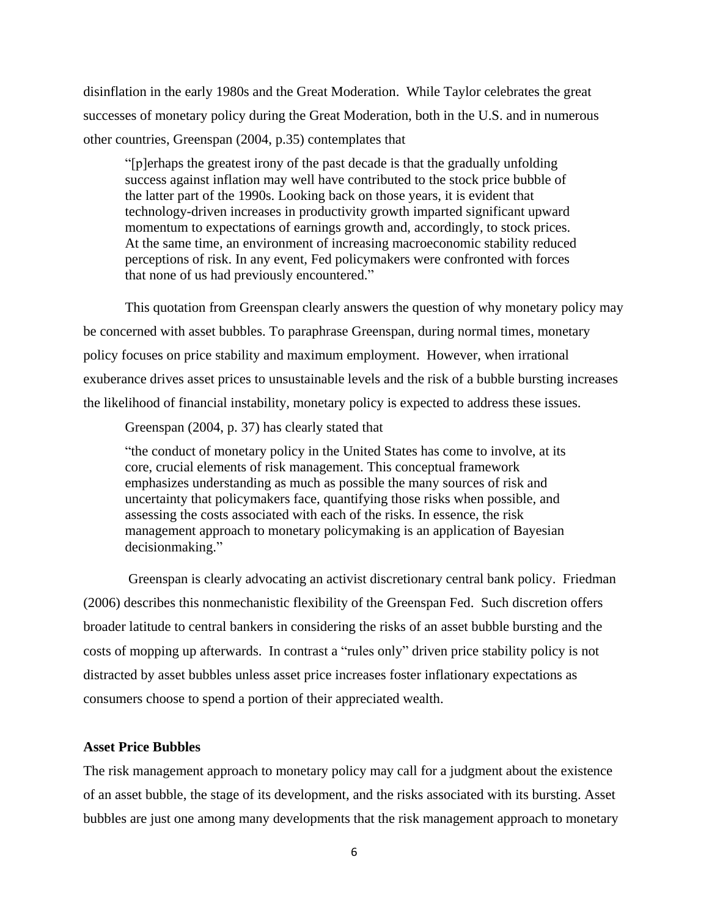disinflation in the early 1980s and the Great Moderation. While Taylor celebrates the great successes of monetary policy during the Great Moderation, both in the U.S. and in numerous other countries, Greenspan (2004, p.35) contemplates that

―[p]erhaps the greatest irony of the past decade is that the gradually unfolding success against inflation may well have contributed to the stock price bubble of the latter part of the 1990s. Looking back on those years, it is evident that technology-driven increases in productivity growth imparted significant upward momentum to expectations of earnings growth and, accordingly, to stock prices. At the same time, an environment of increasing macroeconomic stability reduced perceptions of risk. In any event, Fed policymakers were confronted with forces that none of us had previously encountered."

This quotation from Greenspan clearly answers the question of why monetary policy may be concerned with asset bubbles. To paraphrase Greenspan, during normal times, monetary policy focuses on price stability and maximum employment. However, when irrational exuberance drives asset prices to unsustainable levels and the risk of a bubble bursting increases the likelihood of financial instability, monetary policy is expected to address these issues.

Greenspan (2004, p. 37) has clearly stated that

―the conduct of monetary policy in the United States has come to involve, at its core, crucial elements of risk management. This conceptual framework emphasizes understanding as much as possible the many sources of risk and uncertainty that policymakers face, quantifying those risks when possible, and assessing the costs associated with each of the risks. In essence, the risk management approach to monetary policymaking is an application of Bayesian decisionmaking."

Greenspan is clearly advocating an activist discretionary central bank policy. Friedman (2006) describes this nonmechanistic flexibility of the Greenspan Fed. Such discretion offers broader latitude to central bankers in considering the risks of an asset bubble bursting and the costs of mopping up afterwards. In contrast a "rules only" driven price stability policy is not distracted by asset bubbles unless asset price increases foster inflationary expectations as consumers choose to spend a portion of their appreciated wealth.

#### **Asset Price Bubbles**

The risk management approach to monetary policy may call for a judgment about the existence of an asset bubble, the stage of its development, and the risks associated with its bursting. Asset bubbles are just one among many developments that the risk management approach to monetary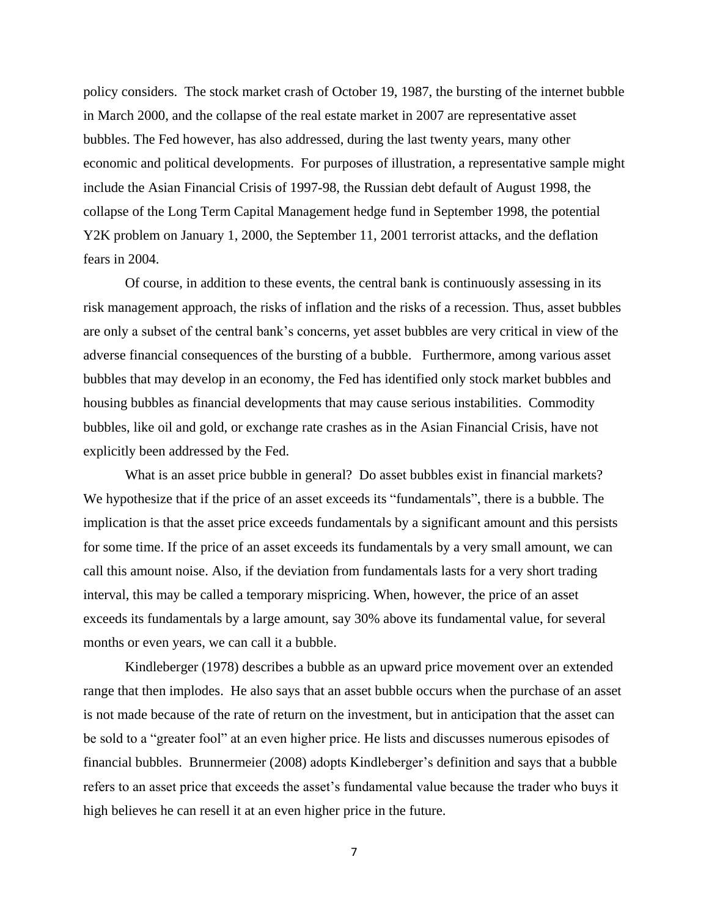policy considers. The stock market crash of October 19, 1987, the bursting of the internet bubble in March 2000, and the collapse of the real estate market in 2007 are representative asset bubbles. The Fed however, has also addressed, during the last twenty years, many other economic and political developments. For purposes of illustration, a representative sample might include the Asian Financial Crisis of 1997-98, the Russian debt default of August 1998, the collapse of the Long Term Capital Management hedge fund in September 1998, the potential Y2K problem on January 1, 2000, the September 11, 2001 terrorist attacks, and the deflation fears in 2004.

Of course, in addition to these events, the central bank is continuously assessing in its risk management approach, the risks of inflation and the risks of a recession. Thus, asset bubbles are only a subset of the central bank's concerns, yet asset bubbles are very critical in view of the adverse financial consequences of the bursting of a bubble. Furthermore, among various asset bubbles that may develop in an economy, the Fed has identified only stock market bubbles and housing bubbles as financial developments that may cause serious instabilities. Commodity bubbles, like oil and gold, or exchange rate crashes as in the Asian Financial Crisis, have not explicitly been addressed by the Fed.

What is an asset price bubble in general? Do asset bubbles exist in financial markets? We hypothesize that if the price of an asset exceeds its "fundamentals", there is a bubble. The implication is that the asset price exceeds fundamentals by a significant amount and this persists for some time. If the price of an asset exceeds its fundamentals by a very small amount, we can call this amount noise. Also, if the deviation from fundamentals lasts for a very short trading interval, this may be called a temporary mispricing. When, however, the price of an asset exceeds its fundamentals by a large amount, say 30% above its fundamental value, for several months or even years, we can call it a bubble.

Kindleberger (1978) describes a bubble as an upward price movement over an extended range that then implodes. He also says that an asset bubble occurs when the purchase of an asset is not made because of the rate of return on the investment, but in anticipation that the asset can be sold to a "greater fool" at an even higher price. He lists and discusses numerous episodes of financial bubbles. Brunnermeier (2008) adopts Kindleberger's definition and says that a bubble refers to an asset price that exceeds the asset's fundamental value because the trader who buys it high believes he can resell it at an even higher price in the future.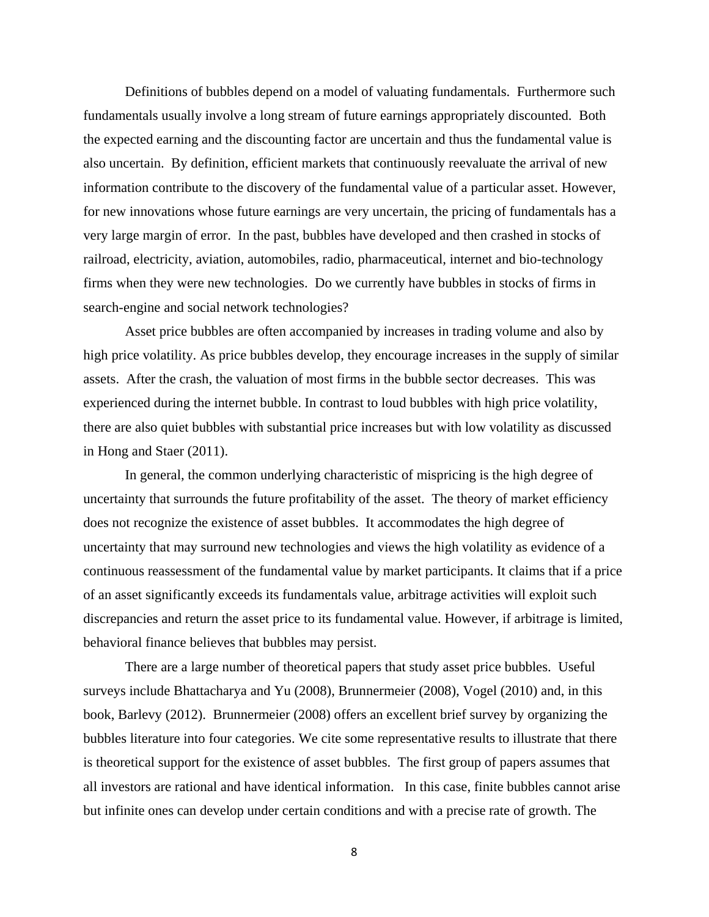Definitions of bubbles depend on a model of valuating fundamentals. Furthermore such fundamentals usually involve a long stream of future earnings appropriately discounted. Both the expected earning and the discounting factor are uncertain and thus the fundamental value is also uncertain. By definition, efficient markets that continuously reevaluate the arrival of new information contribute to the discovery of the fundamental value of a particular asset. However, for new innovations whose future earnings are very uncertain, the pricing of fundamentals has a very large margin of error. In the past, bubbles have developed and then crashed in stocks of railroad, electricity, aviation, automobiles, radio, pharmaceutical, internet and bio-technology firms when they were new technologies. Do we currently have bubbles in stocks of firms in search-engine and social network technologies?

Asset price bubbles are often accompanied by increases in trading volume and also by high price volatility. As price bubbles develop, they encourage increases in the supply of similar assets. After the crash, the valuation of most firms in the bubble sector decreases. This was experienced during the internet bubble. In contrast to loud bubbles with high price volatility, there are also quiet bubbles with substantial price increases but with low volatility as discussed in Hong and Staer (2011).

In general, the common underlying characteristic of mispricing is the high degree of uncertainty that surrounds the future profitability of the asset. The theory of market efficiency does not recognize the existence of asset bubbles. It accommodates the high degree of uncertainty that may surround new technologies and views the high volatility as evidence of a continuous reassessment of the fundamental value by market participants. It claims that if a price of an asset significantly exceeds its fundamentals value, arbitrage activities will exploit such discrepancies and return the asset price to its fundamental value. However, if arbitrage is limited, behavioral finance believes that bubbles may persist.

There are a large number of theoretical papers that study asset price bubbles. Useful surveys include Bhattacharya and Yu (2008), Brunnermeier (2008), Vogel (2010) and, in this book, Barlevy (2012). Brunnermeier (2008) offers an excellent brief survey by organizing the bubbles literature into four categories. We cite some representative results to illustrate that there is theoretical support for the existence of asset bubbles. The first group of papers assumes that all investors are rational and have identical information. In this case, finite bubbles cannot arise but infinite ones can develop under certain conditions and with a precise rate of growth. The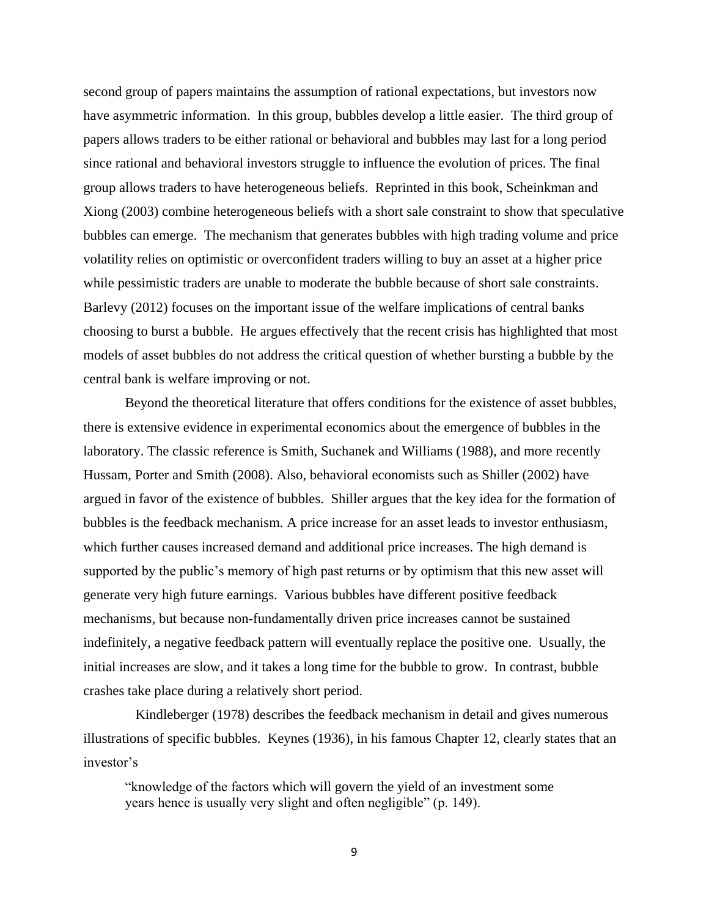second group of papers maintains the assumption of rational expectations, but investors now have asymmetric information. In this group, bubbles develop a little easier. The third group of papers allows traders to be either rational or behavioral and bubbles may last for a long period since rational and behavioral investors struggle to influence the evolution of prices. The final group allows traders to have heterogeneous beliefs. Reprinted in this book, Scheinkman and Xiong (2003) combine heterogeneous beliefs with a short sale constraint to show that speculative bubbles can emerge. The mechanism that generates bubbles with high trading volume and price volatility relies on optimistic or overconfident traders willing to buy an asset at a higher price while pessimistic traders are unable to moderate the bubble because of short sale constraints. Barlevy (2012) focuses on the important issue of the welfare implications of central banks choosing to burst a bubble. He argues effectively that the recent crisis has highlighted that most models of asset bubbles do not address the critical question of whether bursting a bubble by the central bank is welfare improving or not.

Beyond the theoretical literature that offers conditions for the existence of asset bubbles, there is extensive evidence in experimental economics about the emergence of bubbles in the laboratory. The classic reference is Smith, Suchanek and Williams (1988), and more recently Hussam, Porter and Smith (2008). Also, behavioral economists such as Shiller (2002) have argued in favor of the existence of bubbles. Shiller argues that the key idea for the formation of bubbles is the feedback mechanism. A price increase for an asset leads to investor enthusiasm, which further causes increased demand and additional price increases. The high demand is supported by the public's memory of high past returns or by optimism that this new asset will generate very high future earnings. Various bubbles have different positive feedback mechanisms, but because non-fundamentally driven price increases cannot be sustained indefinitely, a negative feedback pattern will eventually replace the positive one. Usually, the initial increases are slow, and it takes a long time for the bubble to grow. In contrast, bubble crashes take place during a relatively short period.

 Kindleberger (1978) describes the feedback mechanism in detail and gives numerous illustrations of specific bubbles. Keynes (1936), in his famous Chapter 12, clearly states that an investor's

―knowledge of the factors which will govern the yield of an investment some years hence is usually very slight and often negligible" (p. 149).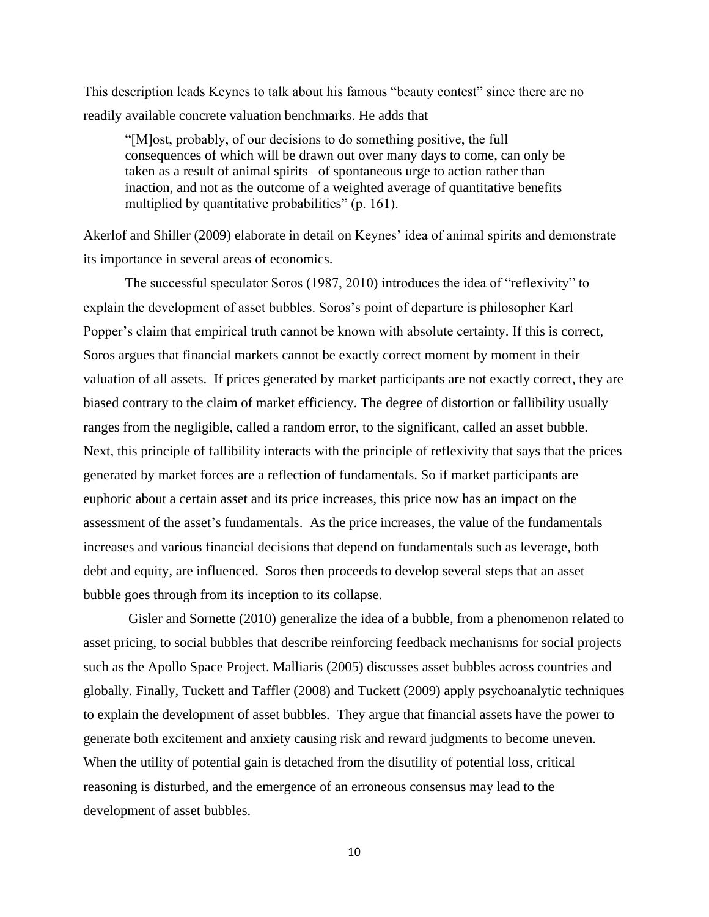This description leads Keynes to talk about his famous "beauty contest" since there are no readily available concrete valuation benchmarks. He adds that

―[M]ost, probably, of our decisions to do something positive, the full consequences of which will be drawn out over many days to come, can only be taken as a result of animal spirits –of spontaneous urge to action rather than inaction, and not as the outcome of a weighted average of quantitative benefits multiplied by quantitative probabilities" (p. 161).

Akerlof and Shiller (2009) elaborate in detail on Keynes' idea of animal spirits and demonstrate its importance in several areas of economics.

The successful speculator Soros (1987, 2010) introduces the idea of "reflexivity" to explain the development of asset bubbles. Soros's point of departure is philosopher Karl Popper's claim that empirical truth cannot be known with absolute certainty. If this is correct, Soros argues that financial markets cannot be exactly correct moment by moment in their valuation of all assets. If prices generated by market participants are not exactly correct, they are biased contrary to the claim of market efficiency. The degree of distortion or fallibility usually ranges from the negligible, called a random error, to the significant, called an asset bubble. Next, this principle of fallibility interacts with the principle of reflexivity that says that the prices generated by market forces are a reflection of fundamentals. So if market participants are euphoric about a certain asset and its price increases, this price now has an impact on the assessment of the asset's fundamentals. As the price increases, the value of the fundamentals increases and various financial decisions that depend on fundamentals such as leverage, both debt and equity, are influenced. Soros then proceeds to develop several steps that an asset bubble goes through from its inception to its collapse.

Gisler and Sornette (2010) generalize the idea of a bubble, from a phenomenon related to asset pricing, to social bubbles that describe reinforcing feedback mechanisms for social projects such as the Apollo Space Project. Malliaris (2005) discusses asset bubbles across countries and globally. Finally, Tuckett and Taffler (2008) and Tuckett (2009) apply psychoanalytic techniques to explain the development of asset bubbles. They argue that financial assets have the power to generate both excitement and anxiety causing risk and reward judgments to become uneven. When the utility of potential gain is detached from the disutility of potential loss, critical reasoning is disturbed, and the emergence of an erroneous consensus may lead to the development of asset bubbles.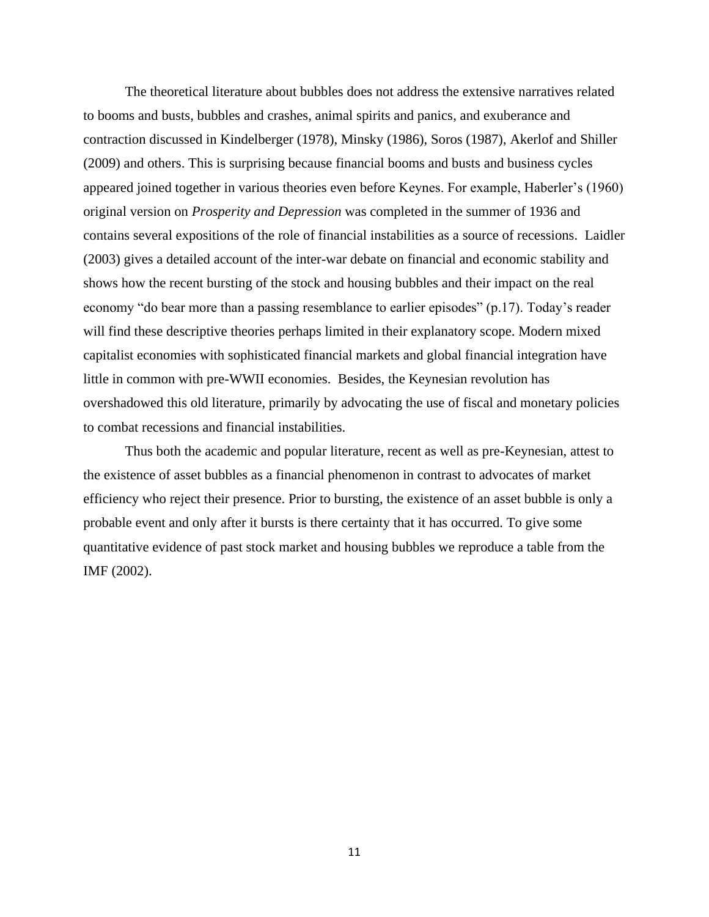The theoretical literature about bubbles does not address the extensive narratives related to booms and busts, bubbles and crashes, animal spirits and panics, and exuberance and contraction discussed in Kindelberger (1978), Minsky (1986), Soros (1987), Akerlof and Shiller (2009) and others. This is surprising because financial booms and busts and business cycles appeared joined together in various theories even before Keynes. For example, Haberler's (1960) original version on *Prosperity and Depression* was completed in the summer of 1936 and contains several expositions of the role of financial instabilities as a source of recessions. Laidler (2003) gives a detailed account of the inter-war debate on financial and economic stability and shows how the recent bursting of the stock and housing bubbles and their impact on the real economy "do bear more than a passing resemblance to earlier episodes" (p.17). Today's reader will find these descriptive theories perhaps limited in their explanatory scope. Modern mixed capitalist economies with sophisticated financial markets and global financial integration have little in common with pre-WWII economies. Besides, the Keynesian revolution has overshadowed this old literature, primarily by advocating the use of fiscal and monetary policies to combat recessions and financial instabilities.

Thus both the academic and popular literature, recent as well as pre-Keynesian, attest to the existence of asset bubbles as a financial phenomenon in contrast to advocates of market efficiency who reject their presence. Prior to bursting, the existence of an asset bubble is only a probable event and only after it bursts is there certainty that it has occurred. To give some quantitative evidence of past stock market and housing bubbles we reproduce a table from the IMF (2002).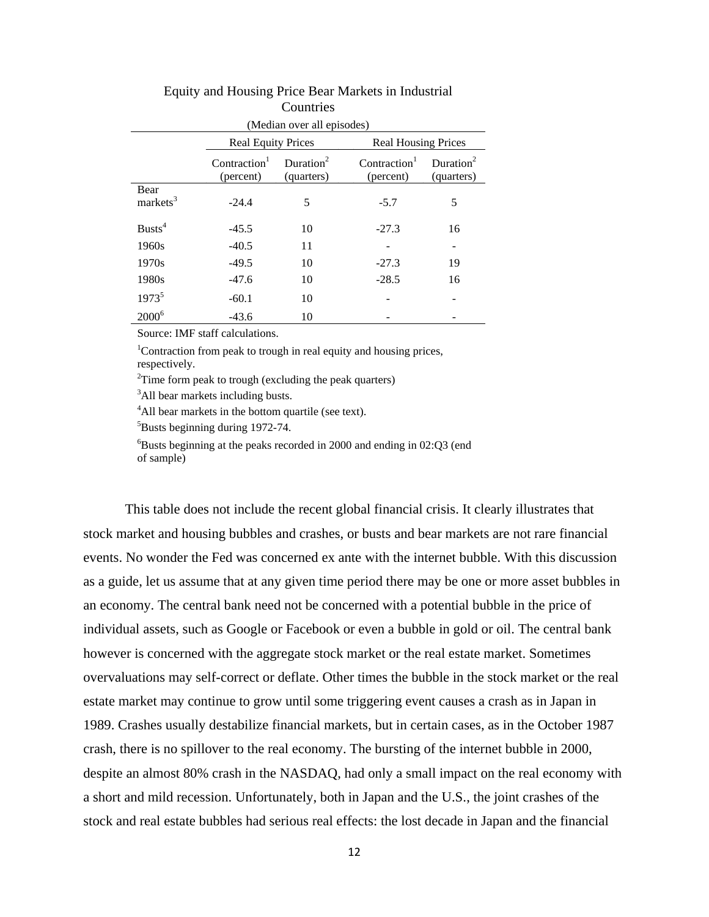| (Median over all episodes)   |                                       |                                     |                                       |                                     |
|------------------------------|---------------------------------------|-------------------------------------|---------------------------------------|-------------------------------------|
|                              | <b>Real Equity Prices</b>             |                                     | <b>Real Housing Prices</b>            |                                     |
|                              | Contraction <sup>1</sup><br>(percent) | Duration <sup>2</sup><br>(quarters) | Contraction <sup>1</sup><br>(percent) | Duration <sup>2</sup><br>(quarters) |
| Bear<br>markets <sup>3</sup> | $-24.4$                               | 5                                   | $-5.7$                                | 5                                   |
| Busts <sup>4</sup>           | $-45.5$                               | 10                                  | $-27.3$                               | 16                                  |
| 1960s                        | $-40.5$                               | 11                                  |                                       |                                     |
| 1970s                        | $-49.5$                               | 10                                  | $-27.3$                               | 19                                  |
| 1980s                        | $-47.6$                               | 10                                  | $-28.5$                               | 16                                  |
| $1973^5$                     | $-60.1$                               | 10                                  |                                       |                                     |
| $2000^6$                     | $-43.6$                               | 10                                  |                                       |                                     |

### Equity and Housing Price Bear Markets in Industrial **Countries**

Source: IMF staff calculations.

<sup>1</sup>Contraction from peak to trough in real equity and housing prices, respectively.

 $2$ Time form peak to trough (excluding the peak quarters)

<sup>3</sup>All bear markets including busts.

<sup>4</sup>All bear markets in the bottom quartile (see text).

<sup>5</sup>Busts beginning during 1972-74.

 ${}^{6}$ Busts beginning at the peaks recorded in 2000 and ending in 02:Q3 (end of sample)

This table does not include the recent global financial crisis. It clearly illustrates that stock market and housing bubbles and crashes, or busts and bear markets are not rare financial events. No wonder the Fed was concerned ex ante with the internet bubble. With this discussion as a guide, let us assume that at any given time period there may be one or more asset bubbles in an economy. The central bank need not be concerned with a potential bubble in the price of individual assets, such as Google or Facebook or even a bubble in gold or oil. The central bank however is concerned with the aggregate stock market or the real estate market. Sometimes overvaluations may self-correct or deflate. Other times the bubble in the stock market or the real estate market may continue to grow until some triggering event causes a crash as in Japan in 1989. Crashes usually destabilize financial markets, but in certain cases, as in the October 1987 crash, there is no spillover to the real economy. The bursting of the internet bubble in 2000, despite an almost 80% crash in the NASDAQ, had only a small impact on the real economy with a short and mild recession. Unfortunately, both in Japan and the U.S., the joint crashes of the stock and real estate bubbles had serious real effects: the lost decade in Japan and the financial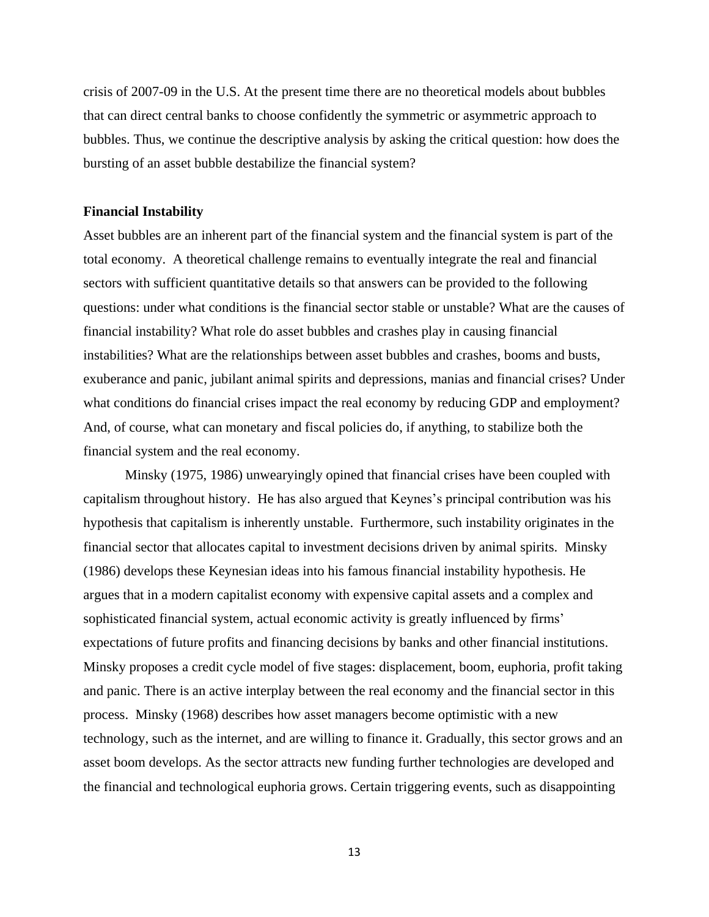crisis of 2007-09 in the U.S. At the present time there are no theoretical models about bubbles that can direct central banks to choose confidently the symmetric or asymmetric approach to bubbles. Thus, we continue the descriptive analysis by asking the critical question: how does the bursting of an asset bubble destabilize the financial system?

#### **Financial Instability**

Asset bubbles are an inherent part of the financial system and the financial system is part of the total economy. A theoretical challenge remains to eventually integrate the real and financial sectors with sufficient quantitative details so that answers can be provided to the following questions: under what conditions is the financial sector stable or unstable? What are the causes of financial instability? What role do asset bubbles and crashes play in causing financial instabilities? What are the relationships between asset bubbles and crashes, booms and busts, exuberance and panic, jubilant animal spirits and depressions, manias and financial crises? Under what conditions do financial crises impact the real economy by reducing GDP and employment? And, of course, what can monetary and fiscal policies do, if anything, to stabilize both the financial system and the real economy.

Minsky (1975, 1986) unwearyingly opined that financial crises have been coupled with capitalism throughout history. He has also argued that Keynes's principal contribution was his hypothesis that capitalism is inherently unstable. Furthermore, such instability originates in the financial sector that allocates capital to investment decisions driven by animal spirits. Minsky (1986) develops these Keynesian ideas into his famous financial instability hypothesis. He argues that in a modern capitalist economy with expensive capital assets and a complex and sophisticated financial system, actual economic activity is greatly influenced by firms' expectations of future profits and financing decisions by banks and other financial institutions. Minsky proposes a credit cycle model of five stages: displacement, boom, euphoria, profit taking and panic. There is an active interplay between the real economy and the financial sector in this process. Minsky (1968) describes how asset managers become optimistic with a new technology, such as the internet, and are willing to finance it. Gradually, this sector grows and an asset boom develops. As the sector attracts new funding further technologies are developed and the financial and technological euphoria grows. Certain triggering events, such as disappointing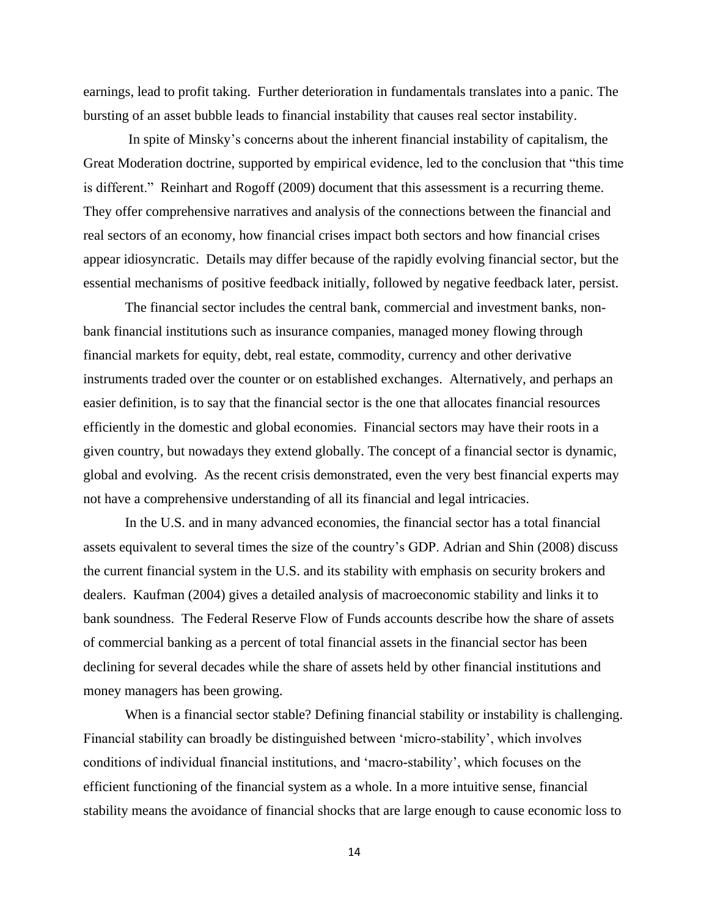earnings, lead to profit taking. Further deterioration in fundamentals translates into a panic. The bursting of an asset bubble leads to financial instability that causes real sector instability.

In spite of Minsky's concerns about the inherent financial instability of capitalism, the Great Moderation doctrine, supported by empirical evidence, led to the conclusion that "this time is different." Reinhart and Rogoff (2009) document that this assessment is a recurring theme. They offer comprehensive narratives and analysis of the connections between the financial and real sectors of an economy, how financial crises impact both sectors and how financial crises appear idiosyncratic. Details may differ because of the rapidly evolving financial sector, but the essential mechanisms of positive feedback initially, followed by negative feedback later, persist.

The financial sector includes the central bank, commercial and investment banks, nonbank financial institutions such as insurance companies, managed money flowing through financial markets for equity, debt, real estate, commodity, currency and other derivative instruments traded over the counter or on established exchanges. Alternatively, and perhaps an easier definition, is to say that the financial sector is the one that allocates financial resources efficiently in the domestic and global economies. Financial sectors may have their roots in a given country, but nowadays they extend globally. The concept of a financial sector is dynamic, global and evolving. As the recent crisis demonstrated, even the very best financial experts may not have a comprehensive understanding of all its financial and legal intricacies.

In the U.S. and in many advanced economies, the financial sector has a total financial assets equivalent to several times the size of the country's GDP. Adrian and Shin (2008) discuss the current financial system in the U.S. and its stability with emphasis on security brokers and dealers. Kaufman (2004) gives a detailed analysis of macroeconomic stability and links it to bank soundness. The Federal Reserve Flow of Funds accounts describe how the share of assets of commercial banking as a percent of total financial assets in the financial sector has been declining for several decades while the share of assets held by other financial institutions and money managers has been growing.

When is a financial sector stable? Defining financial stability or instability is challenging. Financial stability can broadly be distinguished between 'micro-stability', which involves conditions of individual financial institutions, and ‗macro-stability', which focuses on the efficient functioning of the financial system as a whole. In a more intuitive sense, financial stability means the avoidance of financial shocks that are large enough to cause economic loss to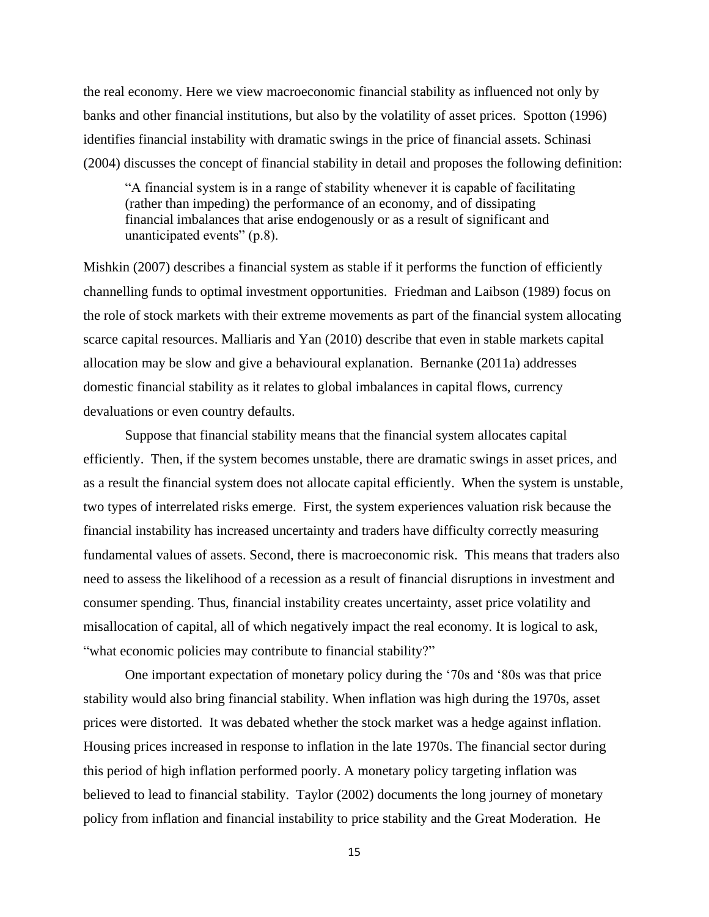the real economy. Here we view macroeconomic financial stability as influenced not only by banks and other financial institutions, but also by the volatility of asset prices. Spotton (1996) identifies financial instability with dramatic swings in the price of financial assets. Schinasi (2004) discusses the concept of financial stability in detail and proposes the following definition:

―A financial system is in a range of stability whenever it is capable of facilitating (rather than impeding) the performance of an economy, and of dissipating financial imbalances that arise endogenously or as a result of significant and unanticipated events"  $(p.8)$ .

Mishkin (2007) describes a financial system as stable if it performs the function of efficiently channelling funds to optimal investment opportunities. Friedman and Laibson (1989) focus on the role of stock markets with their extreme movements as part of the financial system allocating scarce capital resources. Malliaris and Yan (2010) describe that even in stable markets capital allocation may be slow and give a behavioural explanation. Bernanke (2011a) addresses domestic financial stability as it relates to global imbalances in capital flows, currency devaluations or even country defaults.

Suppose that financial stability means that the financial system allocates capital efficiently. Then, if the system becomes unstable, there are dramatic swings in asset prices, and as a result the financial system does not allocate capital efficiently. When the system is unstable, two types of interrelated risks emerge. First, the system experiences valuation risk because the financial instability has increased uncertainty and traders have difficulty correctly measuring fundamental values of assets. Second, there is macroeconomic risk. This means that traders also need to assess the likelihood of a recession as a result of financial disruptions in investment and consumer spending. Thus, financial instability creates uncertainty, asset price volatility and misallocation of capital, all of which negatively impact the real economy. It is logical to ask, "what economic policies may contribute to financial stability?"

One important expectation of monetary policy during the '70s and '80s was that price stability would also bring financial stability. When inflation was high during the 1970s, asset prices were distorted. It was debated whether the stock market was a hedge against inflation. Housing prices increased in response to inflation in the late 1970s. The financial sector during this period of high inflation performed poorly. A monetary policy targeting inflation was believed to lead to financial stability. Taylor (2002) documents the long journey of monetary policy from inflation and financial instability to price stability and the Great Moderation. He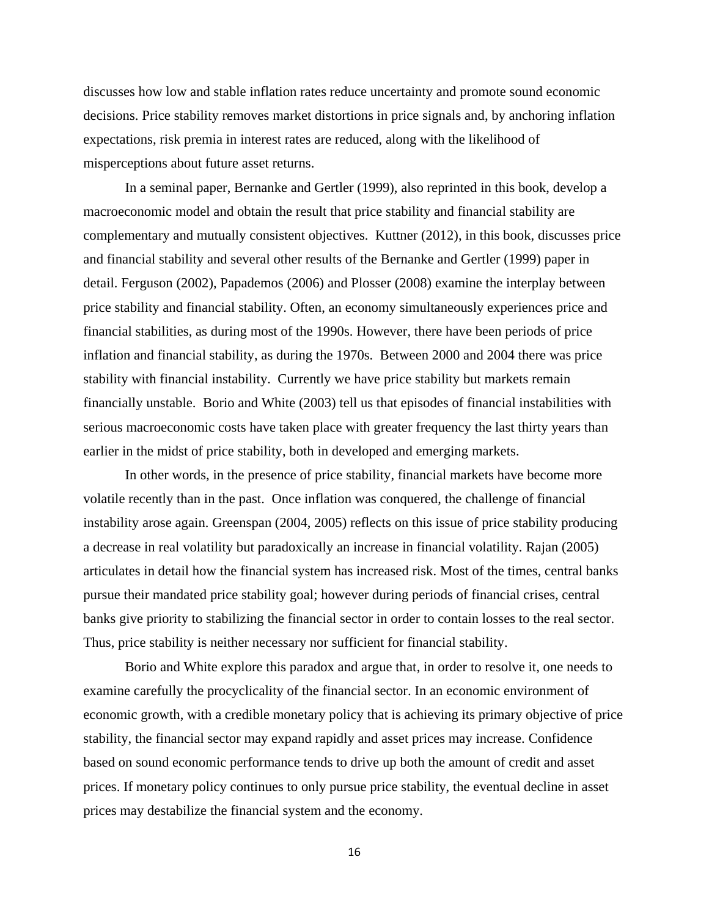discusses how low and stable inflation rates reduce uncertainty and promote sound economic decisions. Price stability removes market distortions in price signals and, by anchoring inflation expectations, risk premia in interest rates are reduced, along with the likelihood of misperceptions about future asset returns.

In a seminal paper, Bernanke and Gertler (1999), also reprinted in this book, develop a macroeconomic model and obtain the result that price stability and financial stability are complementary and mutually consistent objectives. Kuttner (2012), in this book, discusses price and financial stability and several other results of the Bernanke and Gertler (1999) paper in detail. Ferguson (2002), Papademos (2006) and Plosser (2008) examine the interplay between price stability and financial stability. Often, an economy simultaneously experiences price and financial stabilities, as during most of the 1990s. However, there have been periods of price inflation and financial stability, as during the 1970s. Between 2000 and 2004 there was price stability with financial instability. Currently we have price stability but markets remain financially unstable. Borio and White (2003) tell us that episodes of financial instabilities with serious macroeconomic costs have taken place with greater frequency the last thirty years than earlier in the midst of price stability, both in developed and emerging markets.

In other words, in the presence of price stability, financial markets have become more volatile recently than in the past. Once inflation was conquered, the challenge of financial instability arose again. Greenspan (2004, 2005) reflects on this issue of price stability producing a decrease in real volatility but paradoxically an increase in financial volatility. Rajan (2005) articulates in detail how the financial system has increased risk. Most of the times, central banks pursue their mandated price stability goal; however during periods of financial crises, central banks give priority to stabilizing the financial sector in order to contain losses to the real sector. Thus, price stability is neither necessary nor sufficient for financial stability.

Borio and White explore this paradox and argue that, in order to resolve it, one needs to examine carefully the procyclicality of the financial sector. In an economic environment of economic growth, with a credible monetary policy that is achieving its primary objective of price stability, the financial sector may expand rapidly and asset prices may increase. Confidence based on sound economic performance tends to drive up both the amount of credit and asset prices. If monetary policy continues to only pursue price stability, the eventual decline in asset prices may destabilize the financial system and the economy.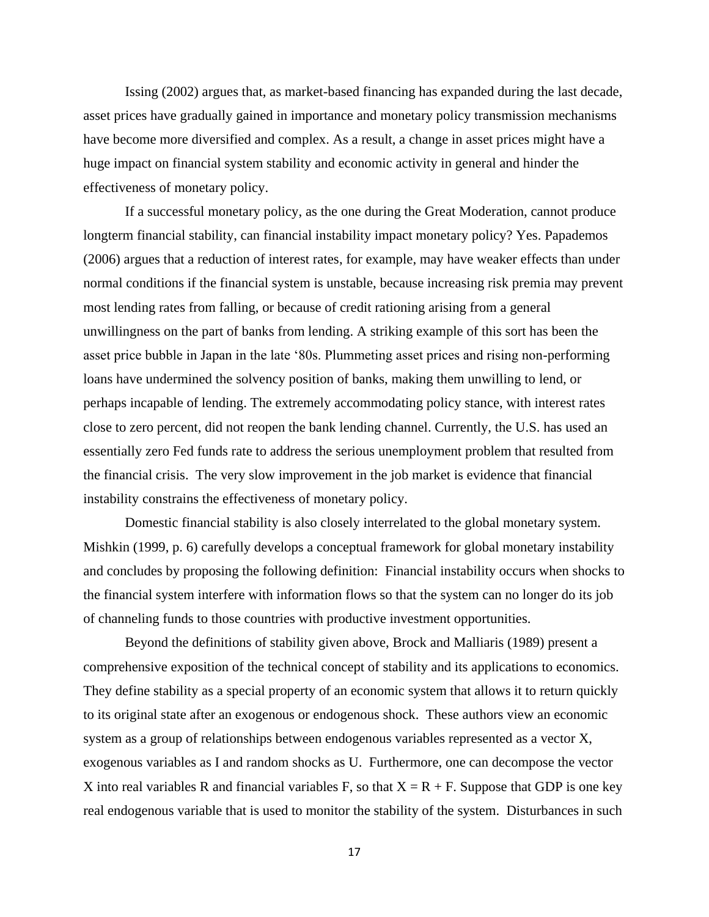Issing (2002) argues that, as market-based financing has expanded during the last decade, asset prices have gradually gained in importance and monetary policy transmission mechanisms have become more diversified and complex. As a result, a change in asset prices might have a huge impact on financial system stability and economic activity in general and hinder the effectiveness of monetary policy.

If a successful monetary policy, as the one during the Great Moderation, cannot produce longterm financial stability, can financial instability impact monetary policy? Yes. Papademos (2006) argues that a reduction of interest rates, for example, may have weaker effects than under normal conditions if the financial system is unstable, because increasing risk premia may prevent most lending rates from falling, or because of credit rationing arising from a general unwillingness on the part of banks from lending. A striking example of this sort has been the asset price bubble in Japan in the late '80s. Plummeting asset prices and rising non-performing loans have undermined the solvency position of banks, making them unwilling to lend, or perhaps incapable of lending. The extremely accommodating policy stance, with interest rates close to zero percent, did not reopen the bank lending channel. Currently, the U.S. has used an essentially zero Fed funds rate to address the serious unemployment problem that resulted from the financial crisis. The very slow improvement in the job market is evidence that financial instability constrains the effectiveness of monetary policy.

Domestic financial stability is also closely interrelated to the global monetary system. Mishkin (1999, p. 6) carefully develops a conceptual framework for global monetary instability and concludes by proposing the following definition: Financial instability occurs when shocks to the financial system interfere with information flows so that the system can no longer do its job of channeling funds to those countries with productive investment opportunities.

Beyond the definitions of stability given above, Brock and Malliaris (1989) present a comprehensive exposition of the technical concept of stability and its applications to economics. They define stability as a special property of an economic system that allows it to return quickly to its original state after an exogenous or endogenous shock. These authors view an economic system as a group of relationships between endogenous variables represented as a vector X, exogenous variables as I and random shocks as U. Furthermore, one can decompose the vector X into real variables R and financial variables F, so that  $X = R + F$ . Suppose that GDP is one key real endogenous variable that is used to monitor the stability of the system. Disturbances in such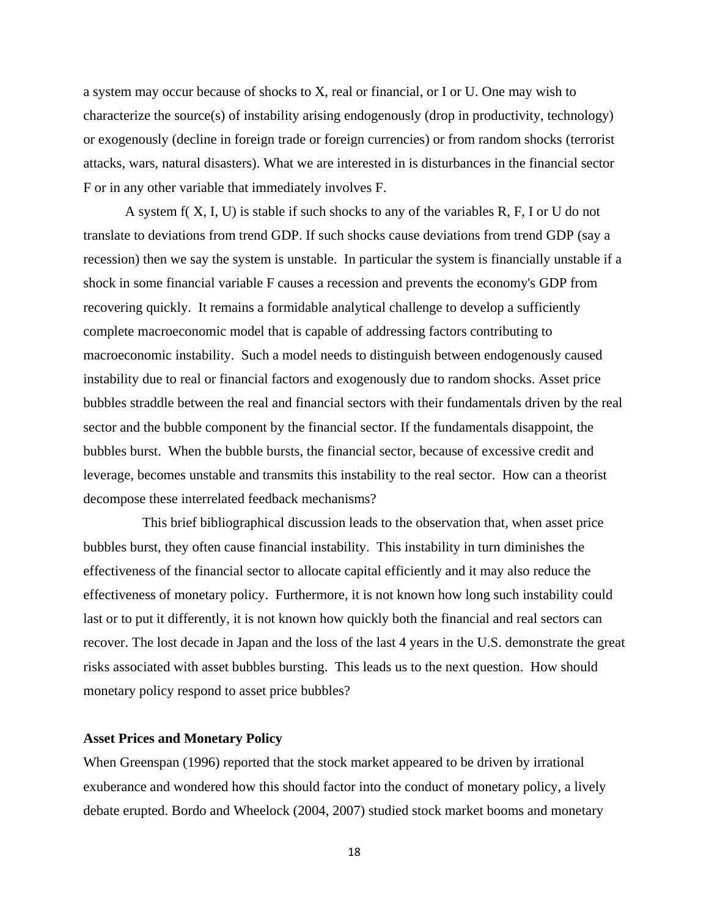a system may occur because of shocks to X, real or financial, or I or U. One may wish to characterize the source(s) of instability arising endogenously (drop in productivity, technology) or exogenously (decline in foreign trade or foreign currencies) or from random shocks (terrorist attacks, wars, natural disasters). What we are interested in is disturbances in the financial sector F or in any other variable that immediately involves F.

A system f( X, I, U) is stable if such shocks to any of the variables R, F, I or U do not translate to deviations from trend GDP. If such shocks cause deviations from trend GDP (say a recession) then we say the system is unstable. In particular the system is financially unstable if a shock in some financial variable F causes a recession and prevents the economy's GDP from recovering quickly. It remains a formidable analytical challenge to develop a sufficiently complete macroeconomic model that is capable of addressing factors contributing to macroeconomic instability. Such a model needs to distinguish between endogenously caused instability due to real or financial factors and exogenously due to random shocks. Asset price bubbles straddle between the real and financial sectors with their fundamentals driven by the real sector and the bubble component by the financial sector. If the fundamentals disappoint, the bubbles burst. When the bubble bursts, the financial sector, because of excessive credit and leverage, becomes unstable and transmits this instability to the real sector. How can a theorist decompose these interrelated feedback mechanisms?

 This brief bibliographical discussion leads to the observation that, when asset price bubbles burst, they often cause financial instability. This instability in turn diminishes the effectiveness of the financial sector to allocate capital efficiently and it may also reduce the effectiveness of monetary policy. Furthermore, it is not known how long such instability could last or to put it differently, it is not known how quickly both the financial and real sectors can recover. The lost decade in Japan and the loss of the last 4 years in the U.S. demonstrate the great risks associated with asset bubbles bursting. This leads us to the next question. How should monetary policy respond to asset price bubbles?

#### **Asset Prices and Monetary Policy**

When Greenspan (1996) reported that the stock market appeared to be driven by irrational exuberance and wondered how this should factor into the conduct of monetary policy, a lively debate erupted. Bordo and Wheelock (2004, 2007) studied stock market booms and monetary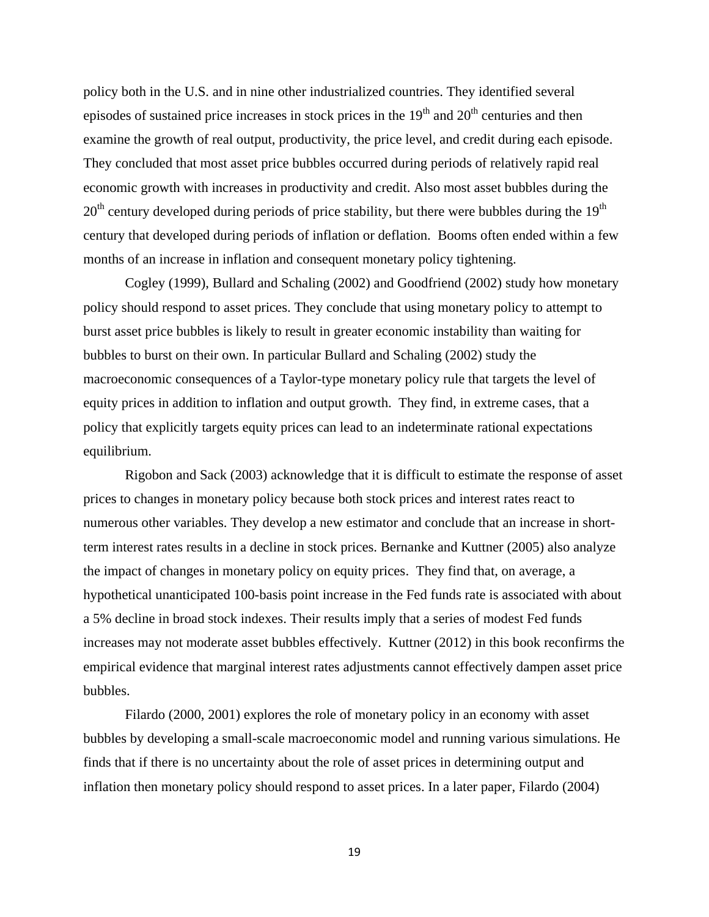policy both in the U.S. and in nine other industrialized countries. They identified several episodes of sustained price increases in stock prices in the  $19<sup>th</sup>$  and  $20<sup>th</sup>$  centuries and then examine the growth of real output, productivity, the price level, and credit during each episode. They concluded that most asset price bubbles occurred during periods of relatively rapid real economic growth with increases in productivity and credit. Also most asset bubbles during the  $20<sup>th</sup>$  century developed during periods of price stability, but there were bubbles during the 19<sup>th</sup> century that developed during periods of inflation or deflation. Booms often ended within a few months of an increase in inflation and consequent monetary policy tightening.

Cogley (1999), Bullard and Schaling (2002) and Goodfriend (2002) study how monetary policy should respond to asset prices. They conclude that using monetary policy to attempt to burst asset price bubbles is likely to result in greater economic instability than waiting for bubbles to burst on their own. In particular Bullard and Schaling (2002) study the macroeconomic consequences of a Taylor-type monetary policy rule that targets the level of equity prices in addition to inflation and output growth. They find, in extreme cases, that a policy that explicitly targets equity prices can lead to an indeterminate rational expectations equilibrium.

Rigobon and Sack (2003) acknowledge that it is difficult to estimate the response of asset prices to changes in monetary policy because both stock prices and interest rates react to numerous other variables. They develop a new estimator and conclude that an increase in shortterm interest rates results in a decline in stock prices. Bernanke and Kuttner (2005) also analyze the impact of changes in monetary policy on equity prices. They find that, on average, a hypothetical unanticipated 100-basis point increase in the Fed funds rate is associated with about a 5% decline in broad stock indexes. Their results imply that a series of modest Fed funds increases may not moderate asset bubbles effectively. Kuttner (2012) in this book reconfirms the empirical evidence that marginal interest rates adjustments cannot effectively dampen asset price bubbles.

Filardo (2000, 2001) explores the role of monetary policy in an economy with asset bubbles by developing a small-scale macroeconomic model and running various simulations. He finds that if there is no uncertainty about the role of asset prices in determining output and inflation then monetary policy should respond to asset prices. In a later paper, Filardo (2004)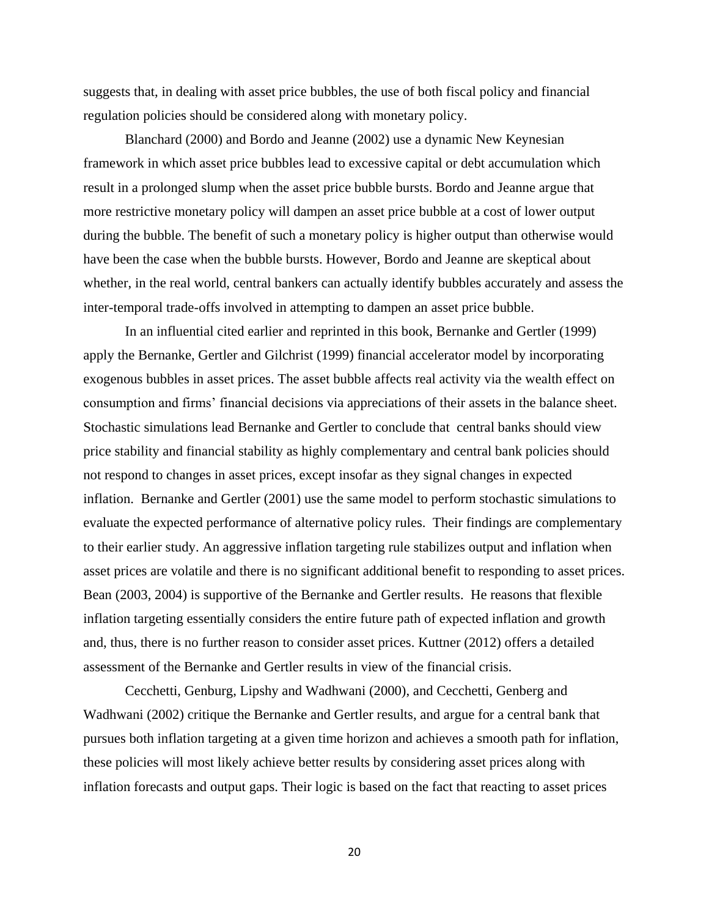suggests that, in dealing with asset price bubbles, the use of both fiscal policy and financial regulation policies should be considered along with monetary policy.

Blanchard (2000) and Bordo and Jeanne (2002) use a dynamic New Keynesian framework in which asset price bubbles lead to excessive capital or debt accumulation which result in a prolonged slump when the asset price bubble bursts. Bordo and Jeanne argue that more restrictive monetary policy will dampen an asset price bubble at a cost of lower output during the bubble. The benefit of such a monetary policy is higher output than otherwise would have been the case when the bubble bursts. However, Bordo and Jeanne are skeptical about whether, in the real world, central bankers can actually identify bubbles accurately and assess the inter-temporal trade-offs involved in attempting to dampen an asset price bubble.

In an influential cited earlier and reprinted in this book, Bernanke and Gertler (1999) apply the Bernanke, Gertler and Gilchrist (1999) financial accelerator model by incorporating exogenous bubbles in asset prices. The asset bubble affects real activity via the wealth effect on consumption and firms' financial decisions via appreciations of their assets in the balance sheet. Stochastic simulations lead Bernanke and Gertler to conclude that central banks should view price stability and financial stability as highly complementary and central bank policies should not respond to changes in asset prices, except insofar as they signal changes in expected inflation. Bernanke and Gertler (2001) use the same model to perform stochastic simulations to evaluate the expected performance of alternative policy rules. Their findings are complementary to their earlier study. An aggressive inflation targeting rule stabilizes output and inflation when asset prices are volatile and there is no significant additional benefit to responding to asset prices. Bean (2003, 2004) is supportive of the Bernanke and Gertler results. He reasons that flexible inflation targeting essentially considers the entire future path of expected inflation and growth and, thus, there is no further reason to consider asset prices. Kuttner (2012) offers a detailed assessment of the Bernanke and Gertler results in view of the financial crisis.

Cecchetti, Genburg, Lipshy and Wadhwani (2000), and Cecchetti, Genberg and Wadhwani (2002) critique the Bernanke and Gertler results, and argue for a central bank that pursues both inflation targeting at a given time horizon and achieves a smooth path for inflation, these policies will most likely achieve better results by considering asset prices along with inflation forecasts and output gaps. Their logic is based on the fact that reacting to asset prices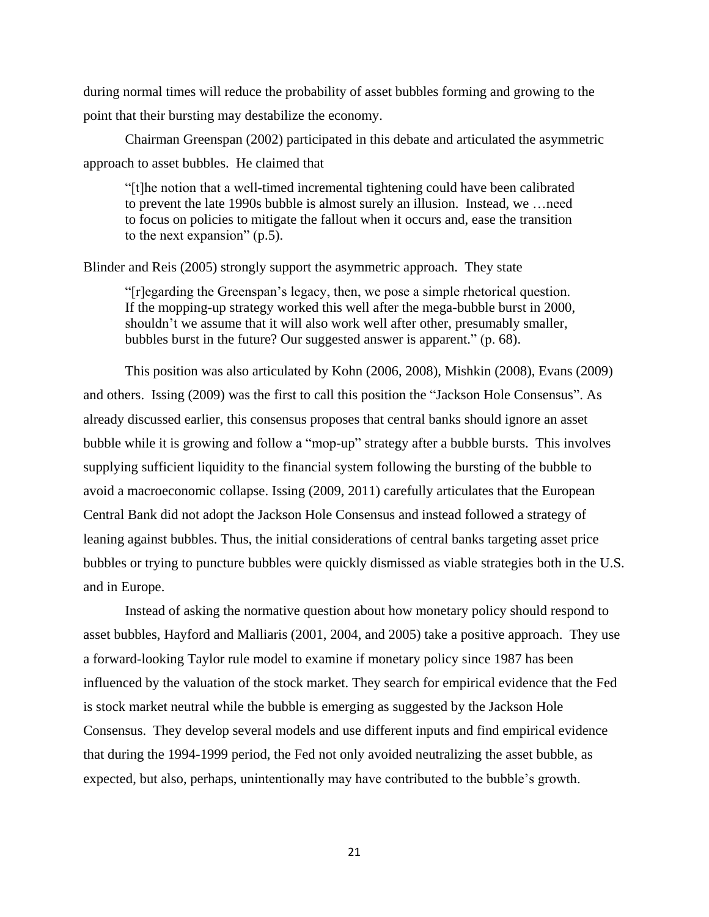during normal times will reduce the probability of asset bubbles forming and growing to the point that their bursting may destabilize the economy.

Chairman Greenspan (2002) participated in this debate and articulated the asymmetric approach to asset bubbles. He claimed that

―[t]he notion that a well-timed incremental tightening could have been calibrated to prevent the late 1990s bubble is almost surely an illusion. Instead, we …need to focus on policies to mitigate the fallout when it occurs and, ease the transition to the next expansion"  $(p.5)$ .

Blinder and Reis (2005) strongly support the asymmetric approach. They state

―[r]egarding the Greenspan's legacy, then, we pose a simple rhetorical question. If the mopping-up strategy worked this well after the mega-bubble burst in 2000, shouldn't we assume that it will also work well after other, presumably smaller, bubbles burst in the future? Our suggested answer is apparent." (p. 68).

This position was also articulated by Kohn (2006, 2008), Mishkin (2008), Evans (2009) and others. Issing (2009) was the first to call this position the "Jackson Hole Consensus". As already discussed earlier, this consensus proposes that central banks should ignore an asset bubble while it is growing and follow a "mop-up" strategy after a bubble bursts. This involves supplying sufficient liquidity to the financial system following the bursting of the bubble to avoid a macroeconomic collapse. Issing (2009, 2011) carefully articulates that the European Central Bank did not adopt the Jackson Hole Consensus and instead followed a strategy of leaning against bubbles. Thus, the initial considerations of central banks targeting asset price bubbles or trying to puncture bubbles were quickly dismissed as viable strategies both in the U.S. and in Europe.

Instead of asking the normative question about how monetary policy should respond to asset bubbles, Hayford and Malliaris (2001, 2004, and 2005) take a positive approach. They use a forward-looking Taylor rule model to examine if monetary policy since 1987 has been influenced by the valuation of the stock market. They search for empirical evidence that the Fed is stock market neutral while the bubble is emerging as suggested by the Jackson Hole Consensus. They develop several models and use different inputs and find empirical evidence that during the 1994-1999 period, the Fed not only avoided neutralizing the asset bubble, as expected, but also, perhaps, unintentionally may have contributed to the bubble's growth.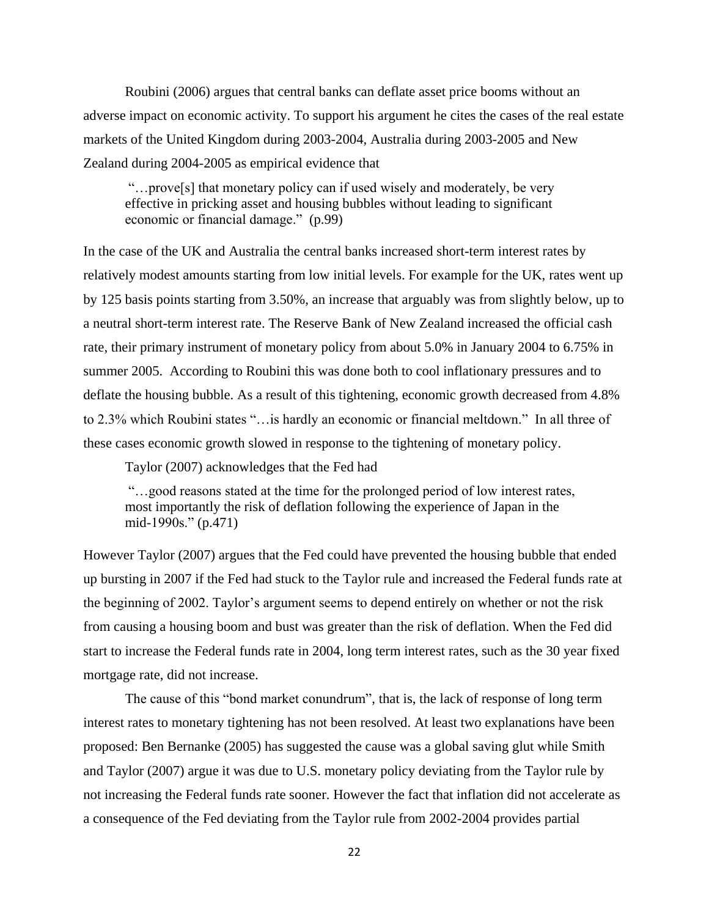Roubini (2006) argues that central banks can deflate asset price booms without an adverse impact on economic activity. To support his argument he cites the cases of the real estate markets of the United Kingdom during 2003-2004, Australia during 2003-2005 and New Zealand during 2004-2005 as empirical evidence that

―…prove[s] that monetary policy can if used wisely and moderately, be very effective in pricking asset and housing bubbles without leading to significant economic or financial damage." (p.99)

In the case of the UK and Australia the central banks increased short-term interest rates by relatively modest amounts starting from low initial levels. For example for the UK, rates went up by 125 basis points starting from 3.50%, an increase that arguably was from slightly below, up to a neutral short-term interest rate. The Reserve Bank of New Zealand increased the official cash rate, their primary instrument of monetary policy from about 5.0% in January 2004 to 6.75% in summer 2005. According to Roubini this was done both to cool inflationary pressures and to deflate the housing bubble. As a result of this tightening, economic growth decreased from 4.8% to 2.3% which Roubini states "... is hardly an economic or financial meltdown." In all three of these cases economic growth slowed in response to the tightening of monetary policy.

Taylor (2007) acknowledges that the Fed had

―…good reasons stated at the time for the prolonged period of low interest rates, most importantly the risk of deflation following the experience of Japan in the mid-1990s." (p.471)

However Taylor (2007) argues that the Fed could have prevented the housing bubble that ended up bursting in 2007 if the Fed had stuck to the Taylor rule and increased the Federal funds rate at the beginning of 2002. Taylor's argument seems to depend entirely on whether or not the risk from causing a housing boom and bust was greater than the risk of deflation. When the Fed did start to increase the Federal funds rate in 2004, long term interest rates, such as the 30 year fixed mortgage rate, did not increase.

The cause of this "bond market conundrum", that is, the lack of response of long term interest rates to monetary tightening has not been resolved. At least two explanations have been proposed: Ben Bernanke (2005) has suggested the cause was a global saving glut while Smith and Taylor (2007) argue it was due to U.S. monetary policy deviating from the Taylor rule by not increasing the Federal funds rate sooner. However the fact that inflation did not accelerate as a consequence of the Fed deviating from the Taylor rule from 2002-2004 provides partial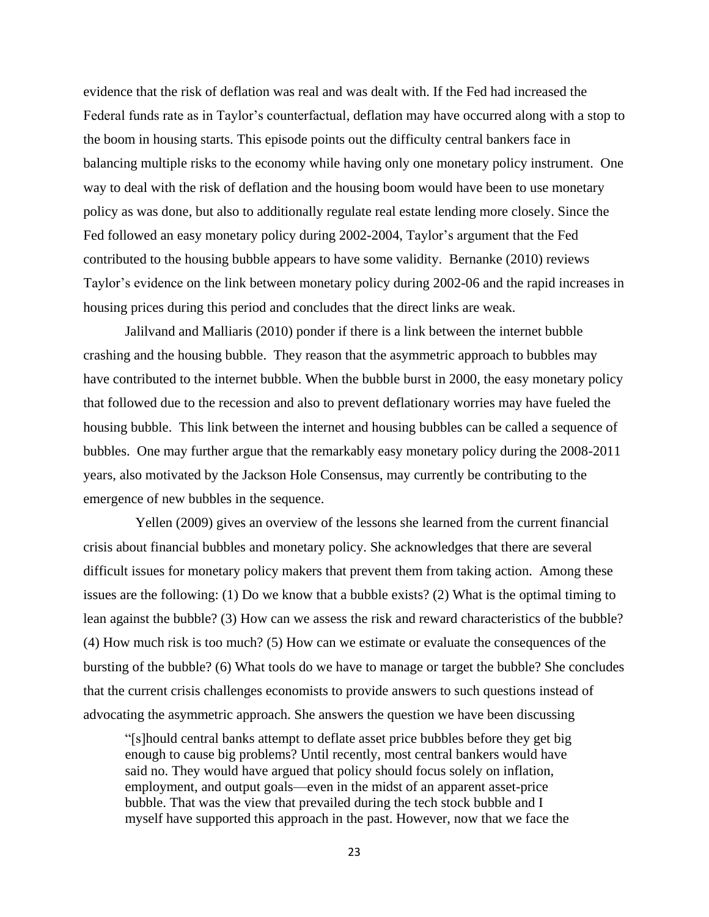evidence that the risk of deflation was real and was dealt with. If the Fed had increased the Federal funds rate as in Taylor's counterfactual, deflation may have occurred along with a stop to the boom in housing starts. This episode points out the difficulty central bankers face in balancing multiple risks to the economy while having only one monetary policy instrument. One way to deal with the risk of deflation and the housing boom would have been to use monetary policy as was done, but also to additionally regulate real estate lending more closely. Since the Fed followed an easy monetary policy during 2002-2004, Taylor's argument that the Fed contributed to the housing bubble appears to have some validity. Bernanke (2010) reviews Taylor's evidence on the link between monetary policy during 2002-06 and the rapid increases in housing prices during this period and concludes that the direct links are weak.

Jalilvand and Malliaris (2010) ponder if there is a link between the internet bubble crashing and the housing bubble. They reason that the asymmetric approach to bubbles may have contributed to the internet bubble. When the bubble burst in 2000, the easy monetary policy that followed due to the recession and also to prevent deflationary worries may have fueled the housing bubble. This link between the internet and housing bubbles can be called a sequence of bubbles. One may further argue that the remarkably easy monetary policy during the 2008-2011 years, also motivated by the Jackson Hole Consensus, may currently be contributing to the emergence of new bubbles in the sequence.

 Yellen (2009) gives an overview of the lessons she learned from the current financial crisis about financial bubbles and monetary policy. She acknowledges that there are several difficult issues for monetary policy makers that prevent them from taking action. Among these issues are the following: (1) Do we know that a bubble exists? (2) What is the optimal timing to lean against the bubble? (3) How can we assess the risk and reward characteristics of the bubble? (4) How much risk is too much? (5) How can we estimate or evaluate the consequences of the bursting of the bubble? (6) What tools do we have to manage or target the bubble? She concludes that the current crisis challenges economists to provide answers to such questions instead of advocating the asymmetric approach. She answers the question we have been discussing

―[s]hould central banks attempt to deflate asset price bubbles before they get big enough to cause big problems? Until recently, most central bankers would have said no. They would have argued that policy should focus solely on inflation, employment, and output goals—even in the midst of an apparent asset-price bubble. That was the view that prevailed during the tech stock bubble and I myself have supported this approach in the past. However, now that we face the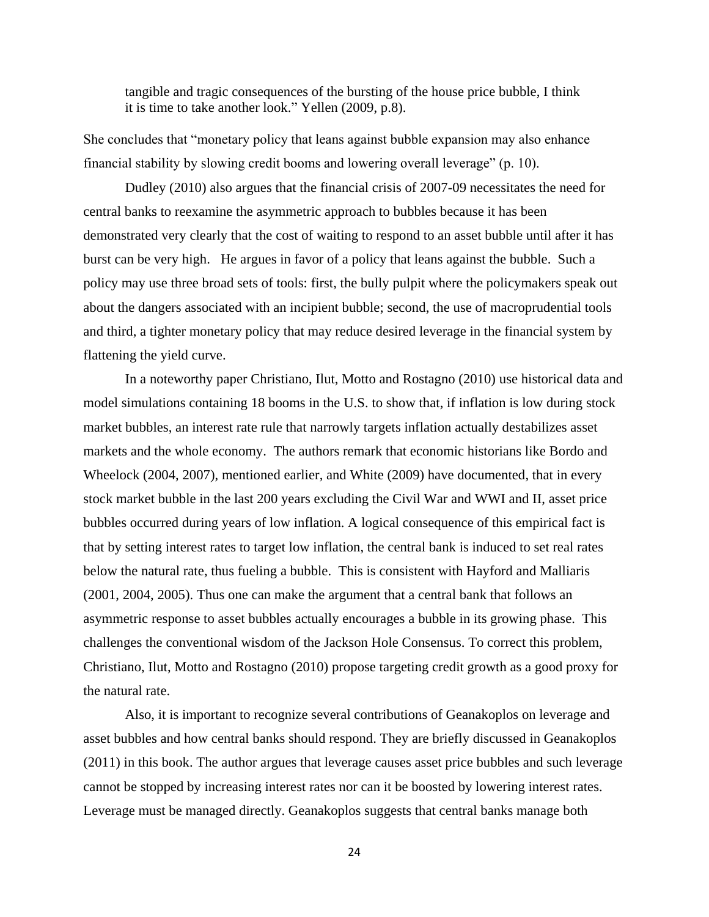tangible and tragic consequences of the bursting of the house price bubble, I think it is time to take another look." Yellen (2009, p.8).

She concludes that "monetary policy that leans against bubble expansion may also enhance financial stability by slowing credit booms and lowering overall leverage" (p. 10).

Dudley (2010) also argues that the financial crisis of 2007-09 necessitates the need for central banks to reexamine the asymmetric approach to bubbles because it has been demonstrated very clearly that the cost of waiting to respond to an asset bubble until after it has burst can be very high. He argues in favor of a policy that leans against the bubble. Such a policy may use three broad sets of tools: first, the bully pulpit where the policymakers speak out about the dangers associated with an incipient bubble; second, the use of macroprudential tools and third, a tighter monetary policy that may reduce desired leverage in the financial system by flattening the yield curve.

In a noteworthy paper Christiano, Ilut, Motto and Rostagno (2010) use historical data and model simulations containing 18 booms in the U.S. to show that, if inflation is low during stock market bubbles, an interest rate rule that narrowly targets inflation actually destabilizes asset markets and the whole economy. The authors remark that economic historians like Bordo and Wheelock (2004, 2007), mentioned earlier, and White (2009) have documented, that in every stock market bubble in the last 200 years excluding the Civil War and WWI and II, asset price bubbles occurred during years of low inflation. A logical consequence of this empirical fact is that by setting interest rates to target low inflation, the central bank is induced to set real rates below the natural rate, thus fueling a bubble. This is consistent with Hayford and Malliaris (2001, 2004, 2005). Thus one can make the argument that a central bank that follows an asymmetric response to asset bubbles actually encourages a bubble in its growing phase. This challenges the conventional wisdom of the Jackson Hole Consensus. To correct this problem, Christiano, Ilut, Motto and Rostagno (2010) propose targeting credit growth as a good proxy for the natural rate.

Also, it is important to recognize several contributions of Geanakoplos on leverage and asset bubbles and how central banks should respond. They are briefly discussed in Geanakoplos (2011) in this book. The author argues that leverage causes asset price bubbles and such leverage cannot be stopped by increasing interest rates nor can it be boosted by lowering interest rates. Leverage must be managed directly. Geanakoplos suggests that central banks manage both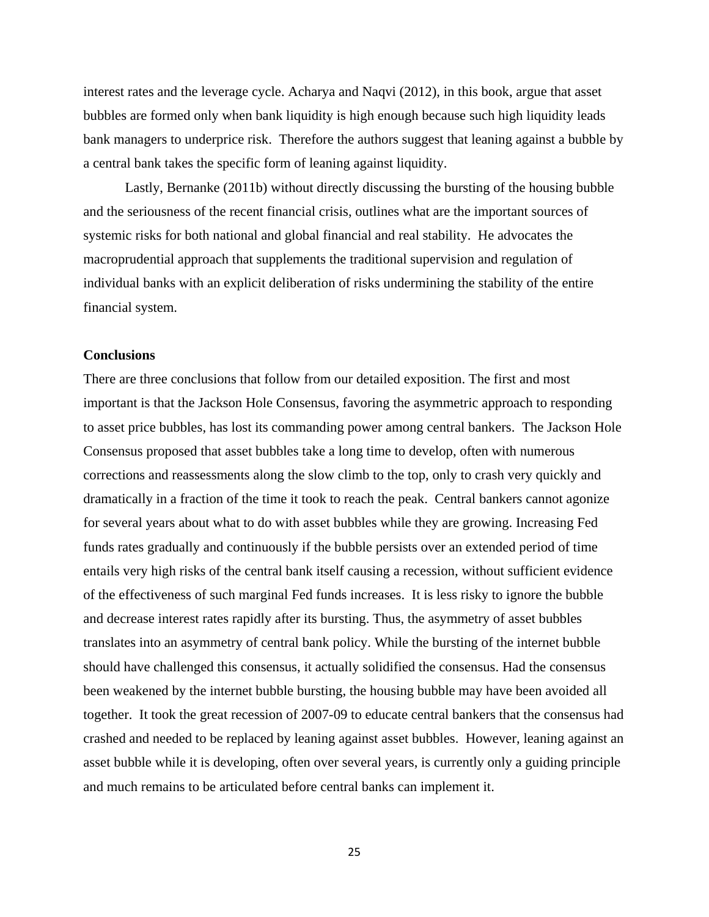interest rates and the leverage cycle. Acharya and Naqvi (2012), in this book, argue that asset bubbles are formed only when bank liquidity is high enough because such high liquidity leads bank managers to underprice risk. Therefore the authors suggest that leaning against a bubble by a central bank takes the specific form of leaning against liquidity.

Lastly, Bernanke (2011b) without directly discussing the bursting of the housing bubble and the seriousness of the recent financial crisis, outlines what are the important sources of systemic risks for both national and global financial and real stability. He advocates the macroprudential approach that supplements the traditional supervision and regulation of individual banks with an explicit deliberation of risks undermining the stability of the entire financial system.

#### **Conclusions**

There are three conclusions that follow from our detailed exposition. The first and most important is that the Jackson Hole Consensus, favoring the asymmetric approach to responding to asset price bubbles, has lost its commanding power among central bankers. The Jackson Hole Consensus proposed that asset bubbles take a long time to develop, often with numerous corrections and reassessments along the slow climb to the top, only to crash very quickly and dramatically in a fraction of the time it took to reach the peak. Central bankers cannot agonize for several years about what to do with asset bubbles while they are growing. Increasing Fed funds rates gradually and continuously if the bubble persists over an extended period of time entails very high risks of the central bank itself causing a recession, without sufficient evidence of the effectiveness of such marginal Fed funds increases. It is less risky to ignore the bubble and decrease interest rates rapidly after its bursting. Thus, the asymmetry of asset bubbles translates into an asymmetry of central bank policy. While the bursting of the internet bubble should have challenged this consensus, it actually solidified the consensus. Had the consensus been weakened by the internet bubble bursting, the housing bubble may have been avoided all together. It took the great recession of 2007-09 to educate central bankers that the consensus had crashed and needed to be replaced by leaning against asset bubbles. However, leaning against an asset bubble while it is developing, often over several years, is currently only a guiding principle and much remains to be articulated before central banks can implement it.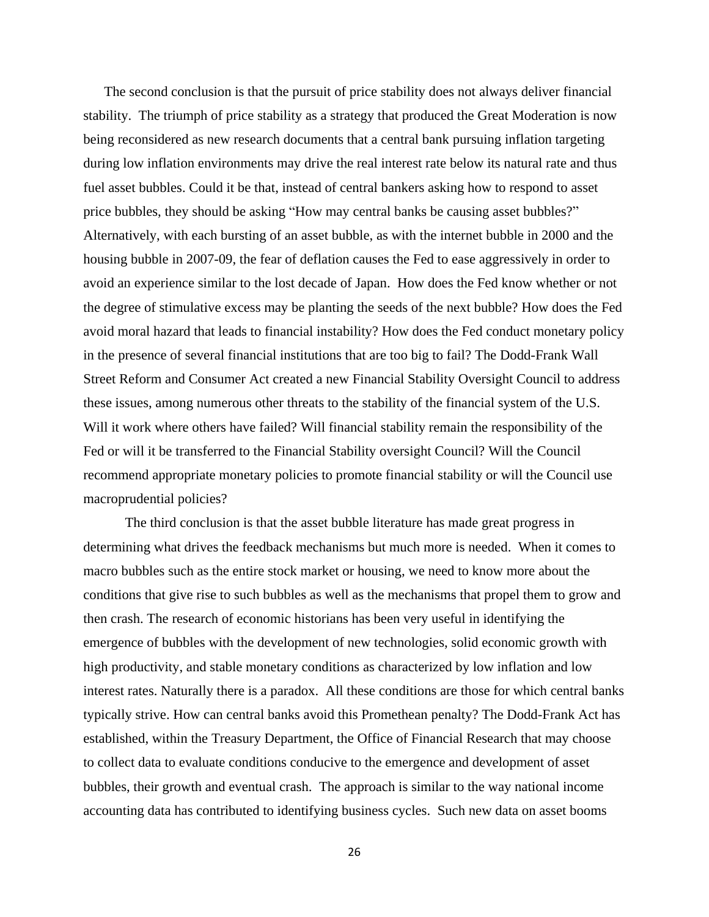The second conclusion is that the pursuit of price stability does not always deliver financial stability. The triumph of price stability as a strategy that produced the Great Moderation is now being reconsidered as new research documents that a central bank pursuing inflation targeting during low inflation environments may drive the real interest rate below its natural rate and thus fuel asset bubbles. Could it be that, instead of central bankers asking how to respond to asset price bubbles, they should be asking "How may central banks be causing asset bubbles?" Alternatively, with each bursting of an asset bubble, as with the internet bubble in 2000 and the housing bubble in 2007-09, the fear of deflation causes the Fed to ease aggressively in order to avoid an experience similar to the lost decade of Japan. How does the Fed know whether or not the degree of stimulative excess may be planting the seeds of the next bubble? How does the Fed avoid moral hazard that leads to financial instability? How does the Fed conduct monetary policy in the presence of several financial institutions that are too big to fail? The Dodd-Frank Wall Street Reform and Consumer Act created a new Financial Stability Oversight Council to address these issues, among numerous other threats to the stability of the financial system of the U.S. Will it work where others have failed? Will financial stability remain the responsibility of the Fed or will it be transferred to the Financial Stability oversight Council? Will the Council recommend appropriate monetary policies to promote financial stability or will the Council use macroprudential policies?

The third conclusion is that the asset bubble literature has made great progress in determining what drives the feedback mechanisms but much more is needed. When it comes to macro bubbles such as the entire stock market or housing, we need to know more about the conditions that give rise to such bubbles as well as the mechanisms that propel them to grow and then crash. The research of economic historians has been very useful in identifying the emergence of bubbles with the development of new technologies, solid economic growth with high productivity, and stable monetary conditions as characterized by low inflation and low interest rates. Naturally there is a paradox. All these conditions are those for which central banks typically strive. How can central banks avoid this Promethean penalty? The Dodd-Frank Act has established, within the Treasury Department, the Office of Financial Research that may choose to collect data to evaluate conditions conducive to the emergence and development of asset bubbles, their growth and eventual crash. The approach is similar to the way national income accounting data has contributed to identifying business cycles. Such new data on asset booms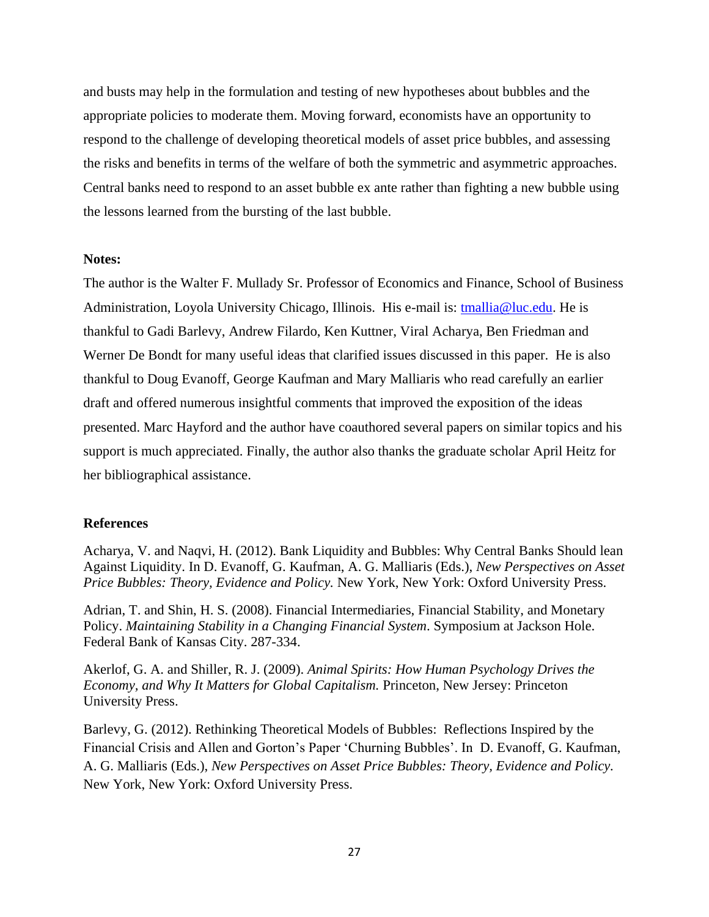and busts may help in the formulation and testing of new hypotheses about bubbles and the appropriate policies to moderate them. Moving forward, economists have an opportunity to respond to the challenge of developing theoretical models of asset price bubbles, and assessing the risks and benefits in terms of the welfare of both the symmetric and asymmetric approaches. Central banks need to respond to an asset bubble ex ante rather than fighting a new bubble using the lessons learned from the bursting of the last bubble.

#### **Notes:**

The author is the Walter F. Mullady Sr. Professor of Economics and Finance, School of Business Administration, Loyola University Chicago, Illinois. His e-mail is: [tmallia@luc.edu.](mailto:tmallia@luc.edu) He is thankful to Gadi Barlevy, Andrew Filardo, Ken Kuttner, Viral Acharya, Ben Friedman and Werner De Bondt for many useful ideas that clarified issues discussed in this paper. He is also thankful to Doug Evanoff, George Kaufman and Mary Malliaris who read carefully an earlier draft and offered numerous insightful comments that improved the exposition of the ideas presented. Marc Hayford and the author have coauthored several papers on similar topics and his support is much appreciated. Finally, the author also thanks the graduate scholar April Heitz for her bibliographical assistance.

#### **References**

Acharya, V. and Naqvi, H. (2012). Bank Liquidity and Bubbles: Why Central Banks Should lean Against Liquidity. In D. Evanoff, G. Kaufman, A. G. Malliaris (Eds.), *New Perspectives on Asset Price Bubbles: Theory, Evidence and Policy.* New York, New York: Oxford University Press.

Adrian, T. and Shin, H. S. (2008). Financial Intermediaries, Financial Stability, and Monetary Policy. *Maintaining Stability in a Changing Financial System*. Symposium at Jackson Hole. Federal Bank of Kansas City. 287-334.

Akerlof, G. A. and Shiller, R. J. (2009). *Animal Spirits: How Human Psychology Drives the Economy, and Why It Matters for Global Capitalism.* Princeton, New Jersey: Princeton University Press.

Barlevy, G. (2012). Rethinking Theoretical Models of Bubbles: Reflections Inspired by the Financial Crisis and Allen and Gorton's Paper ‗Churning Bubbles'. In D. Evanoff, G. Kaufman, A. G. Malliaris (Eds.), *New Perspectives on Asset Price Bubbles: Theory, Evidence and Policy.* New York, New York: Oxford University Press.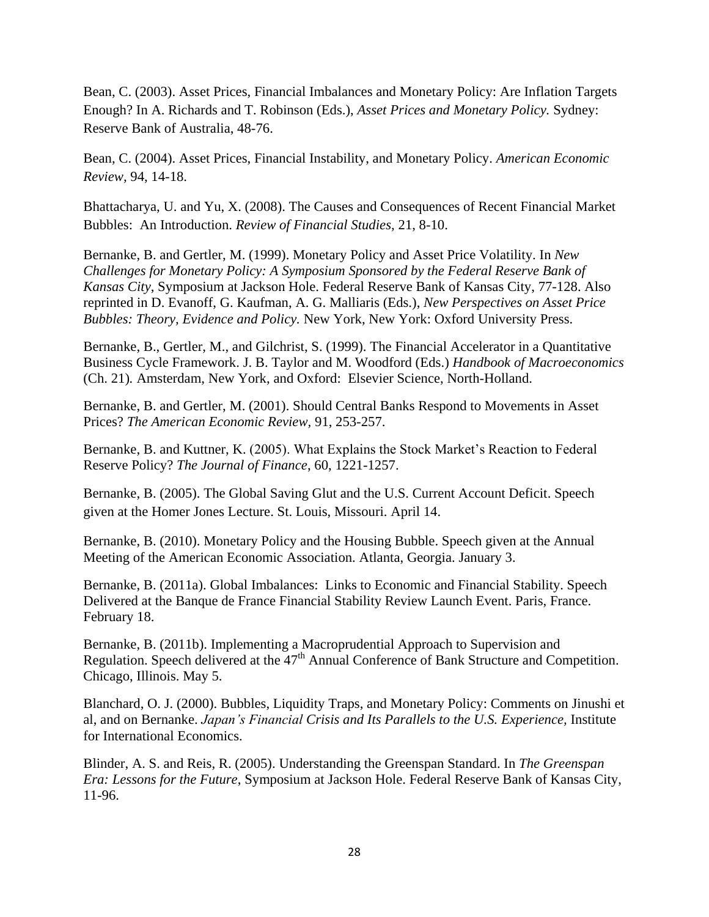Bean, C. (2003). Asset Prices, Financial Imbalances and Monetary Policy: Are Inflation Targets Enough? In A. Richards and T. Robinson (Eds.), *Asset Prices and Monetary Policy.* Sydney: Reserve Bank of Australia, 48-76.

Bean, C. (2004). Asset Prices, Financial Instability, and Monetary Policy. *American Economic Review,* 94, 14-18.

Bhattacharya, U. and Yu, X. (2008). The Causes and Consequences of Recent Financial Market Bubbles: An Introduction. *Review of Financial Studies,* 21, 8-10.

Bernanke, B. and Gertler, M. (1999). Monetary Policy and Asset Price Volatility. In *New Challenges for Monetary Policy: A Symposium Sponsored by the Federal Reserve Bank of Kansas City*, Symposium at Jackson Hole. Federal Reserve Bank of Kansas City, 77-128. Also reprinted in D. Evanoff, G. Kaufman, A. G. Malliaris (Eds.), *New Perspectives on Asset Price Bubbles: Theory, Evidence and Policy.* New York, New York: Oxford University Press.

Bernanke, B., Gertler, M., and Gilchrist, S. (1999). The Financial Accelerator in a Quantitative Business Cycle Framework. J. B. Taylor and M. Woodford (Eds.) *Handbook of Macroeconomics* (Ch. 21)*.* Amsterdam, New York, and Oxford: Elsevier Science, North-Holland.

Bernanke, B. and Gertler, M. (2001). Should Central Banks Respond to Movements in Asset Prices? *The American Economic Review,* 91, 253-257.

Bernanke, B. and Kuttner, K. (2005). What Explains the Stock Market's Reaction to Federal Reserve Policy? *The Journal of Finance*, 60, 1221-1257.

Bernanke, B. (2005). The Global Saving Glut and the U.S. Current Account Deficit. Speech given at the Homer Jones Lecture. St. Louis, Missouri. April 14.

Bernanke, B. (2010). Monetary Policy and the Housing Bubble. Speech given at the Annual Meeting of the American Economic Association. Atlanta, Georgia. January 3.

Bernanke, B. (2011a). Global Imbalances: Links to Economic and Financial Stability. Speech Delivered at the Banque de France Financial Stability Review Launch Event. Paris, France. February 18.

Bernanke, B. (2011b). Implementing a Macroprudential Approach to Supervision and Regulation. Speech delivered at the 47<sup>th</sup> Annual Conference of Bank Structure and Competition. Chicago, Illinois. May 5.

Blanchard, O. J. (2000). Bubbles, Liquidity Traps, and Monetary Policy: Comments on Jinushi et al, and on Bernanke. *Japan's Financial Crisis and Its Parallels to the U.S. Experience,* Institute for International Economics.

Blinder, A. S. and Reis, R. (2005). Understanding the Greenspan Standard. In *The Greenspan Era: Lessons for the Future*, Symposium at Jackson Hole. Federal Reserve Bank of Kansas City, 11-96.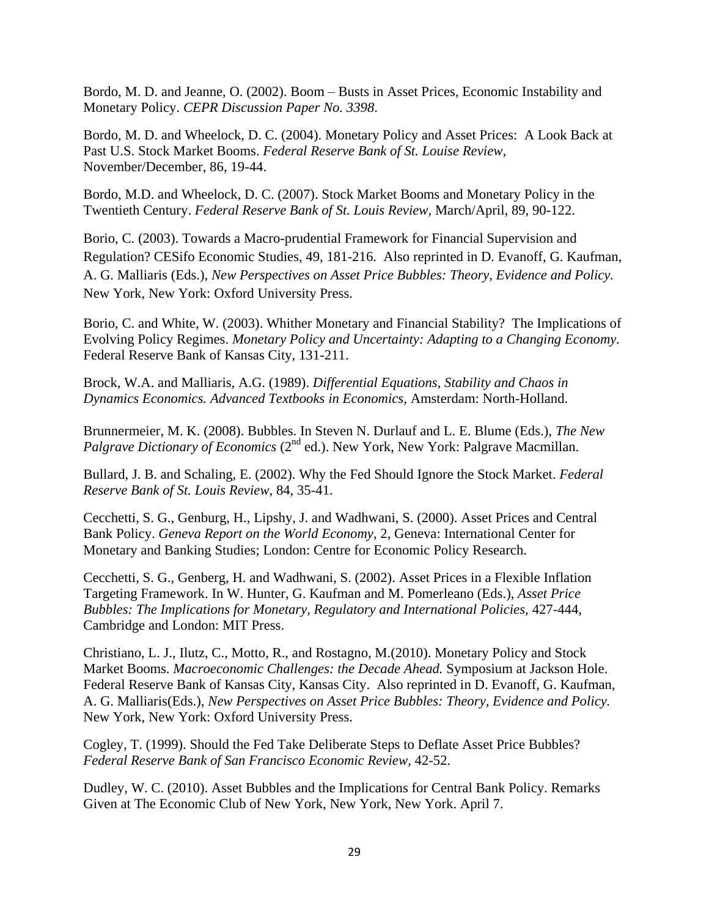Bordo, M. D. and Jeanne, O. (2002). Boom – Busts in Asset Prices, Economic Instability and Monetary Policy. *CEPR Discussion Paper No. 3398*.

Bordo, M. D. and Wheelock, D. C. (2004). Monetary Policy and Asset Prices: A Look Back at Past U.S. Stock Market Booms. *Federal Reserve Bank of St. Louise Review*, November/December, 86, 19-44.

Bordo, M.D. and Wheelock, D. C. (2007). Stock Market Booms and Monetary Policy in the Twentieth Century. *Federal Reserve Bank of St. Louis Review,* March/April, 89, 90-122.

Borio, C. (2003). Towards a Macro-prudential Framework for Financial Supervision and Regulation? CESifo Economic Studies, 49, 181-216. Also reprinted in D. Evanoff, G. Kaufman, A. G. Malliaris (Eds.), *New Perspectives on Asset Price Bubbles: Theory, Evidence and Policy.* New York, New York: Oxford University Press.

Borio, C. and White, W. (2003). Whither Monetary and Financial Stability? The Implications of Evolving Policy Regimes. *Monetary Policy and Uncertainty: Adapting to a Changing Economy.*  Federal Reserve Bank of Kansas City, 131-211.

Brock, W.A. and Malliaris, A.G. (1989). *Differential Equations, Stability and Chaos in Dynamics Economics. Advanced Textbooks in Economics*, Amsterdam: North-Holland.

Brunnermeier, M. K. (2008). Bubbles. In Steven N. Durlauf and L. E. Blume (Eds.), *The New Palgrave Dictionary of Economics* (2<sup>nd</sup> ed.). New York, New York: Palgrave Macmillan.

Bullard, J. B. and Schaling, E. (2002). Why the Fed Should Ignore the Stock Market. *Federal Reserve Bank of St. Louis Review*, 84, 35-41.

Cecchetti, S. G., Genburg, H., Lipshy, J. and Wadhwani, S. (2000). Asset Prices and Central Bank Policy. *Geneva Report on the World Economy*, 2, Geneva: International Center for Monetary and Banking Studies; London: Centre for Economic Policy Research.

Cecchetti, S. G., Genberg, H. and Wadhwani, S. (2002). Asset Prices in a Flexible Inflation Targeting Framework. In W. Hunter, G. Kaufman and M. Pomerleano (Eds.), *Asset Price Bubbles: The Implications for Monetary, Regulatory and International Policies,* 427-444, Cambridge and London: MIT Press.

Christiano, L. J., Ilutz, C., Motto, R., and Rostagno, M.(2010). Monetary Policy and Stock Market Booms. *Macroeconomic Challenges: the Decade Ahead.* Symposium at Jackson Hole. Federal Reserve Bank of Kansas City, Kansas City. Also reprinted in D. Evanoff, G. Kaufman, A. G. Malliaris(Eds.), *New Perspectives on Asset Price Bubbles: Theory, Evidence and Policy.* New York, New York: Oxford University Press.

Cogley, T. (1999). Should the Fed Take Deliberate Steps to Deflate Asset Price Bubbles? *Federal Reserve Bank of San Francisco Economic Review,* 42-52.

Dudley, W. C. (2010). Asset Bubbles and the Implications for Central Bank Policy. Remarks Given at The Economic Club of New York, New York, New York. April 7.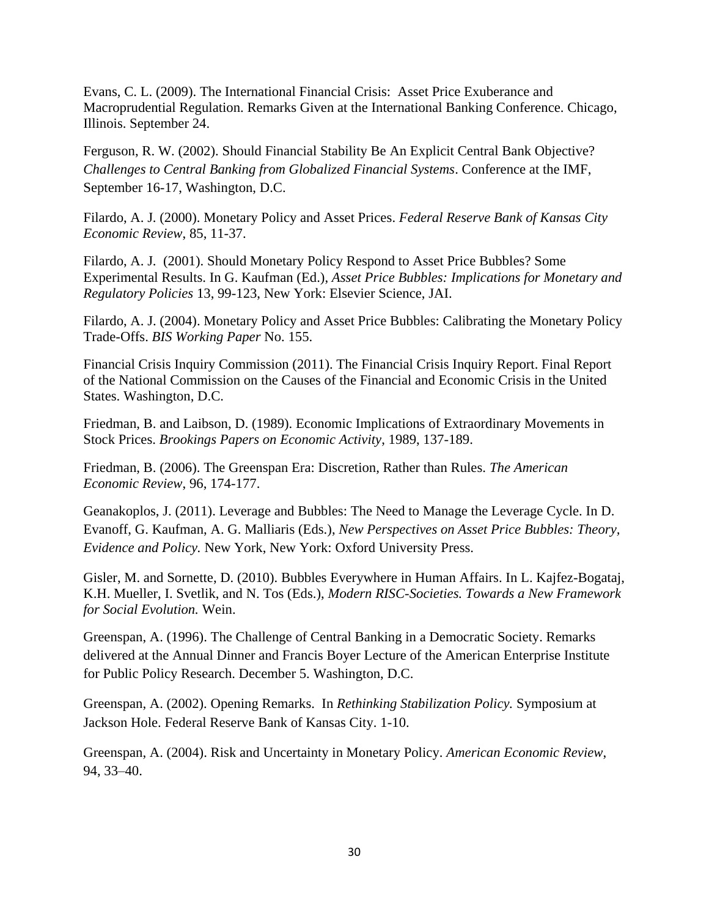Evans, C. L. (2009). The International Financial Crisis: Asset Price Exuberance and Macroprudential Regulation. Remarks Given at the International Banking Conference. Chicago, Illinois. September 24.

Ferguson, R. W. (2002). Should Financial Stability Be An Explicit Central Bank Objective? *Challenges to Central Banking from Globalized Financial Systems*. Conference at the IMF, September 16-17, Washington, D.C.

Filardo, A. J. (2000). Monetary Policy and Asset Prices. *Federal Reserve Bank of Kansas City Economic Review*, 85, 11-37.

Filardo, A. J. (2001). Should Monetary Policy Respond to Asset Price Bubbles? Some Experimental Results. In G. Kaufman (Ed.), *Asset Price Bubbles: Implications for Monetary and Regulatory Policies* 13, 99-123, New York: Elsevier Science, JAI.

Filardo, A. J. (2004). Monetary Policy and Asset Price Bubbles: Calibrating the Monetary Policy Trade-Offs. *BIS Working Paper* No. 155.

Financial Crisis Inquiry Commission (2011). The Financial Crisis Inquiry Report. Final Report of the National Commission on the Causes of the Financial and Economic Crisis in the United States. Washington, D.C.

Friedman, B. and Laibson, D. (1989). Economic Implications of Extraordinary Movements in Stock Prices. *Brookings Papers on Economic Activity*, 1989, 137-189.

Friedman, B. (2006). The Greenspan Era: Discretion, Rather than Rules. *The American Economic Review*, 96, 174-177.

Geanakoplos, J. (2011). Leverage and Bubbles: The Need to Manage the Leverage Cycle. In D. Evanoff, G. Kaufman, A. G. Malliaris (Eds.), *New Perspectives on Asset Price Bubbles: Theory, Evidence and Policy.* New York, New York: Oxford University Press.

Gisler, M. and Sornette, D. (2010). Bubbles Everywhere in Human Affairs. In L. Kajfez-Bogataj, K.H. Mueller, I. Svetlik, and N. Tos (Eds.), *Modern RISC-Societies. Towards a New Framework for Social Evolution.* Wein.

Greenspan, A. (1996). The Challenge of Central Banking in a Democratic Society. Remarks delivered at the Annual Dinner and Francis Boyer Lecture of the American Enterprise Institute for Public Policy Research. December 5. Washington, D.C.

Greenspan, A. (2002). Opening Remarks. In *Rethinking Stabilization Policy.* Symposium at Jackson Hole. Federal Reserve Bank of Kansas City. 1-10.

Greenspan, A. (2004). Risk and Uncertainty in Monetary Policy. *American Economic Review*, 94, 33–40.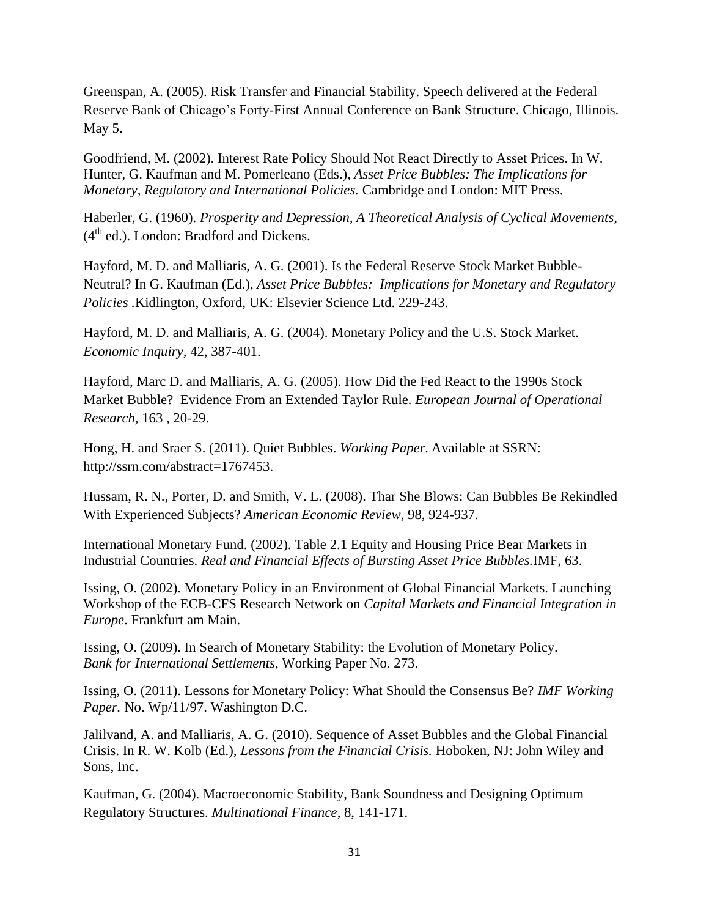Greenspan, A. (2005). Risk Transfer and Financial Stability. Speech delivered at the Federal Reserve Bank of Chicago's Forty-First Annual Conference on Bank Structure. Chicago, Illinois. May 5.

Goodfriend, M. (2002). Interest Rate Policy Should Not React Directly to Asset Prices. In W. Hunter, G. Kaufman and M. Pomerleano (Eds.), *Asset Price Bubbles: The Implications for Monetary, Regulatory and International Policies.* Cambridge and London: MIT Press.

Haberler, G. (1960). *Prosperity and Depression, A Theoretical Analysis of Cyclical Movements*,  $(4<sup>th</sup>$  ed.). London: Bradford and Dickens.

Hayford, M. D. and Malliaris, A. G. (2001). Is the Federal Reserve Stock Market Bubble-Neutral? In G. Kaufman (Ed.), *Asset Price Bubbles: Implications for Monetary and Regulatory Policies .*Kidlington, Oxford, UK: Elsevier Science Ltd. 229-243.

Hayford, M. D. and Malliaris, A. G. (2004). Monetary Policy and the U.S. Stock Market. *Economic Inquiry,* 42, 387-401.

Hayford, Marc D. and Malliaris, A. G. (2005). How Did the Fed React to the 1990s Stock Market Bubble? Evidence From an Extended Taylor Rule. *European Journal of Operational Research,* 163 , 20-29.

Hong, H. and Sraer S. (2011). Quiet Bubbles. *Working Paper.* Available at SSRN: http://ssrn.com/abstract=1767453.

Hussam, R. N., Porter, D. and Smith, V. L. (2008). Thar She Blows: Can Bubbles Be Rekindled With Experienced Subjects? *American Economic Review*, 98, 924-937.

International Monetary Fund. (2002). Table 2.1 Equity and Housing Price Bear Markets in Industrial Countries. *Real and Financial Effects of Bursting Asset Price Bubbles.*IMF, 63.

Issing, O. (2002). Monetary Policy in an Environment of Global Financial Markets. Launching Workshop of the ECB-CFS Research Network on *Capital Markets and Financial Integration in Europe*. Frankfurt am Main.

Issing, O. (2009). In Search of Monetary Stability: the Evolution of Monetary Policy. *Bank for International Settlements*, Working Paper No. 273.

Issing, O. (2011). Lessons for Monetary Policy: What Should the Consensus Be? *IMF Working Paper.* No. Wp/11/97. Washington D.C.

Jalilvand, A. and Malliaris, A. G. (2010). Sequence of Asset Bubbles and the Global Financial Crisis. In R. W. Kolb (Ed.), *Lessons from the Financial Crisis.* Hoboken, NJ: John Wiley and Sons, Inc.

Kaufman, G. (2004). Macroeconomic Stability, Bank Soundness and Designing Optimum Regulatory Structures. *Multinational Finance*, 8, 141-171.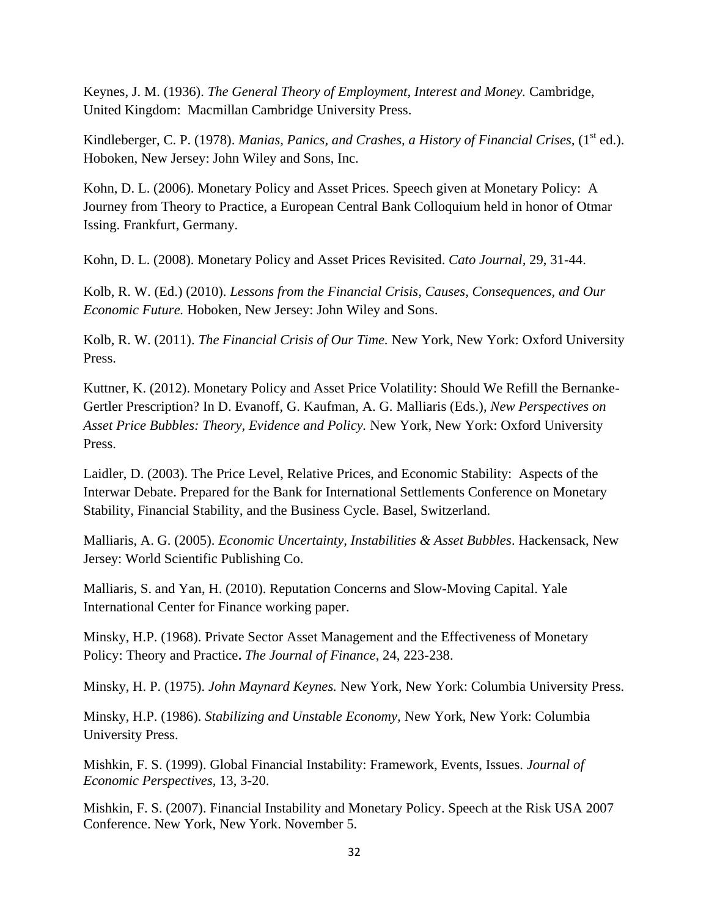Keynes, J. M. (1936). *The General Theory of Employment, Interest and Money.* Cambridge, United Kingdom: Macmillan Cambridge University Press.

Kindleberger, C. P. (1978). *Manias, Panics, and Crashes, a History of Financial Crises,* (1<sup>st</sup> ed.). Hoboken, New Jersey: John Wiley and Sons, Inc.

Kohn, D. L. (2006). Monetary Policy and Asset Prices. Speech given at Monetary Policy: A Journey from Theory to Practice, a European Central Bank Colloquium held in honor of Otmar Issing. Frankfurt, Germany.

Kohn, D. L. (2008). Monetary Policy and Asset Prices Revisited. *Cato Journal,* 29, 31-44.

Kolb, R. W. (Ed.) (2010). *Lessons from the Financial Crisis, Causes, Consequences, and Our Economic Future.* Hoboken, New Jersey: John Wiley and Sons.

Kolb, R. W. (2011). *The Financial Crisis of Our Time.* New York, New York: Oxford University Press.

Kuttner, K. (2012). Monetary Policy and Asset Price Volatility: Should We Refill the Bernanke-Gertler Prescription? In D. Evanoff, G. Kaufman, A. G. Malliaris (Eds.), *New Perspectives on Asset Price Bubbles: Theory, Evidence and Policy.* New York, New York: Oxford University Press.

Laidler, D. (2003). The Price Level, Relative Prices, and Economic Stability: Aspects of the Interwar Debate. Prepared for the Bank for International Settlements Conference on Monetary Stability, Financial Stability, and the Business Cycle. Basel, Switzerland.

Malliaris, A. G. (2005). *Economic Uncertainty, Instabilities & Asset Bubbles*. Hackensack, New Jersey: World Scientific Publishing Co.

Malliaris, S. and Yan, H. (2010). Reputation Concerns and Slow-Moving Capital. Yale International Center for Finance working paper.

Minsky, H.P. (1968). Private Sector Asset Management and the Effectiveness of Monetary Policy: Theory and Practice**.** *The Journal of Finance*, 24, 223-238.

Minsky, H. P. (1975). *John Maynard Keynes.* New York, New York: Columbia University Press.

Minsky, H.P. (1986). *Stabilizing and Unstable Economy,* New York, New York: Columbia University Press.

Mishkin, F. S. (1999). Global Financial Instability: Framework, Events, Issues. *Journal of Economic Perspectives,* 13, 3-20.

Mishkin, F. S. (2007). Financial Instability and Monetary Policy. Speech at the Risk USA 2007 Conference. New York, New York. November 5.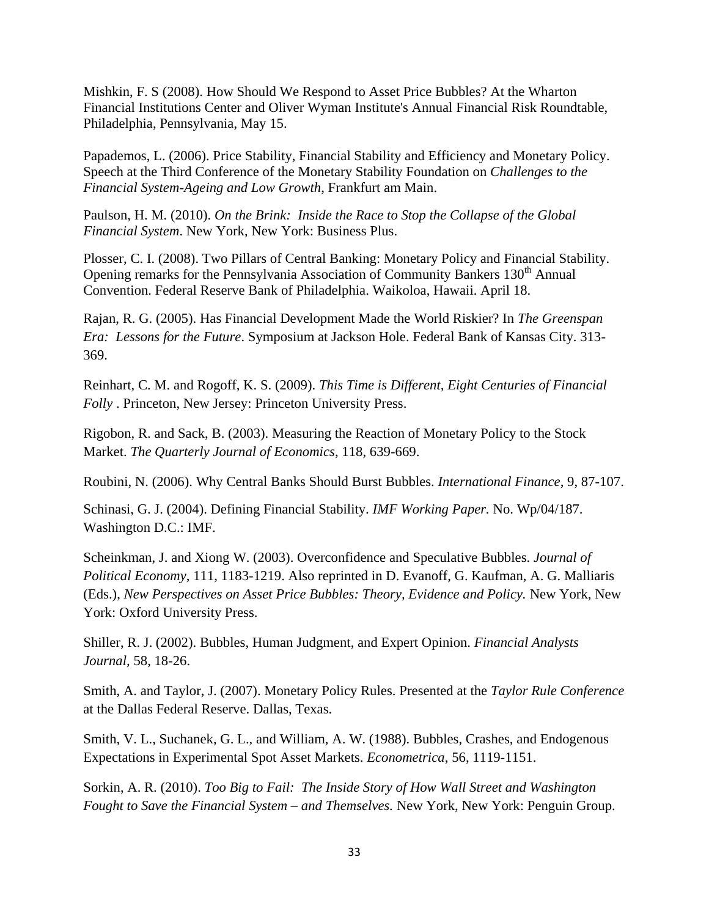Mishkin, F. S (2008). How Should We Respond to Asset Price Bubbles? At the Wharton Financial Institutions Center and Oliver Wyman Institute's Annual Financial Risk Roundtable, Philadelphia, Pennsylvania, May 15.

Papademos, L. (2006). Price Stability, Financial Stability and Efficiency and Monetary Policy. Speech at the Third Conference of the Monetary Stability Foundation on *Challenges to the Financial System-Ageing and Low Growth*, Frankfurt am Main.

Paulson, H. M. (2010). *On the Brink: Inside the Race to Stop the Collapse of the Global Financial System*. New York, New York: Business Plus.

Plosser, C. I. (2008). Two Pillars of Central Banking: Monetary Policy and Financial Stability. Opening remarks for the Pennsylvania Association of Community Bankers 130<sup>th</sup> Annual Convention. Federal Reserve Bank of Philadelphia. Waikoloa, Hawaii. April 18.

Rajan, R. G. (2005). Has Financial Development Made the World Riskier? In *The Greenspan Era: Lessons for the Future*. Symposium at Jackson Hole. Federal Bank of Kansas City. 313- 369.

Reinhart, C. M. and Rogoff, K. S. (2009). *This Time is Different, Eight Centuries of Financial Folly* . Princeton, New Jersey: Princeton University Press.

Rigobon, R. and Sack, B. (2003). Measuring the Reaction of Monetary Policy to the Stock Market. *The Quarterly Journal of Economics*, 118, 639-669.

Roubini, N. (2006). Why Central Banks Should Burst Bubbles. *International Finance,* 9, 87-107.

Schinasi, G. J. (2004). Defining Financial Stability. *IMF Working Paper.* No. Wp/04/187. Washington D.C.: IMF.

Scheinkman, J. and Xiong W. (2003). Overconfidence and Speculative Bubbles. *Journal of Political Economy,* 111, 1183-1219. Also reprinted in D. Evanoff, G. Kaufman, A. G. Malliaris (Eds.), *New Perspectives on Asset Price Bubbles: Theory, Evidence and Policy.* New York, New York: Oxford University Press.

Shiller, R. J. (2002). Bubbles, Human Judgment, and Expert Opinion. *Financial Analysts Journal,* 58, 18-26.

Smith, A. and Taylor, J. (2007). Monetary Policy Rules. Presented at the *Taylor Rule Conference* at the Dallas Federal Reserve. Dallas, Texas.

Smith, V. L., Suchanek, G. L., and William, A. W. (1988). Bubbles, Crashes, and Endogenous Expectations in Experimental Spot Asset Markets. *Econometrica*, 56, 1119-1151.

Sorkin, A. R. (2010). *Too Big to Fail: The Inside Story of How Wall Street and Washington Fought to Save the Financial System – and Themselves.* New York, New York: Penguin Group.